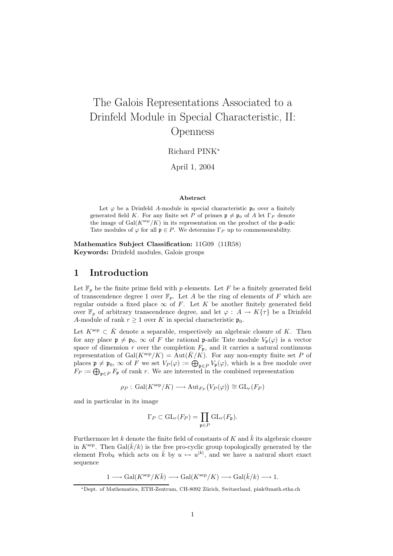# The Galois Representations Associated to a Drinfeld Module in Special Characteristic, II: Openness

Richard PINK<sup>∗</sup>

April 1, 2004

#### Abstract

Let  $\varphi$  be a Drinfeld A-module in special characteristic  $\mathfrak{p}_0$  over a finitely generated field K. For any finite set P of primes  $\mathfrak{p} \neq \mathfrak{p}_0$  of A let  $\Gamma_P$  denote the image of  $Gal(K^{\text{sep}}/K)$  in its representation on the product of the p-adic Tate modules of  $\varphi$  for all  $\mathfrak{p} \in P$ . We determine  $\Gamma_P$  up to commensurability.

Mathematics Subject Classification: 11G09 (11R58) Keywords: Drinfeld modules, Galois groups

## 1 Introduction

Let  $\mathbb{F}_p$  be the finite prime field with p elements. Let F be a finitely generated field of transcendence degree 1 over  $\mathbb{F}_p$ . Let A be the ring of elements of F which are regular outside a fixed place  $\infty$  of F. Let K be another finitely generated field over  $\mathbb{F}_p$  of arbitrary transcendence degree, and let  $\varphi: A \to K\{\tau\}$  be a Drinfeld A-module of rank  $r \geq 1$  over K in special characteristic  $\mathfrak{p}_0$ .

Let  $K^{\text{sep}} \subset \overline{K}$  denote a separable, respectively an algebraic closure of K. Then for any place  $\mathfrak{p} \neq \mathfrak{p}_0$ ,  $\infty$  of F the rational p-adic Tate module  $V_{\mathfrak{p}}(\varphi)$  is a vector space of dimension r over the completion  $F_{\mathfrak{p}}$ , and it carries a natural continuous representation of  $Gal(K^{\rm sep}/K) = Aut(\overline{K}/K)$ . For any non-empty finite set P of places  $\mathfrak{p} \neq \mathfrak{p}_0$ ,  $\infty$  of F we set  $V_P(\varphi) := \bigoplus_{\mathfrak{p} \in P} V_{\mathfrak{p}}(\varphi)$ , which is a free module over  $F_P := \bigoplus_{\mathfrak{p} \in P} F_{\mathfrak{p}}$  of rank r. We are interested in the combined representation

$$
\rho_P: \, \text{Gal}(K^{\text{sep}}/K) \longrightarrow \text{Aut}_{F_P}(V_P(\varphi)) \cong \text{GL}_r(F_P)
$$

and in particular in its image

$$
\Gamma_P \subset \mathrm{GL}_r(F_P) = \prod_{\mathfrak{p} \in P} \mathrm{GL}_r(F_{\mathfrak{p}}).
$$

Furthermore let k denote the finite field of constants of K and  $k$  its algebraic closure in  $K^{\text{sep}}$ . Then  $Gal(\bar{k}/k)$  is the free pro-cyclic group topologically generated by the element Frob<sub>k</sub> which acts on  $\overline{k}$  by  $u \mapsto u^{[k]}$ , and we have a natural short exact sequence

$$
1 \longrightarrow \text{Gal}(K^{\text{sep}}/K\bar{k}) \longrightarrow \text{Gal}(K^{\text{sep}}/K) \longrightarrow \text{Gal}(\bar{k}/k) \longrightarrow 1.
$$

<sup>∗</sup>Dept. of Mathematics, ETH-Zentrum, CH-8092 Z¨urich, Switzerland, pink@math.ethz.ch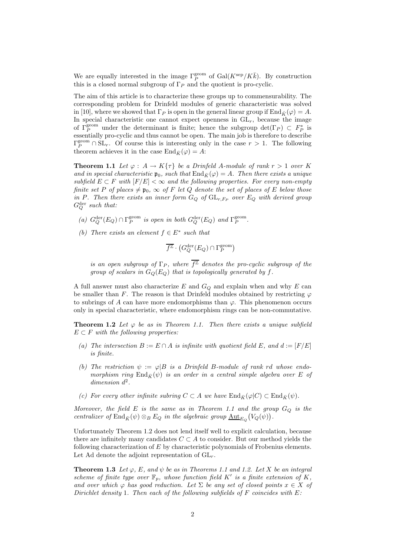We are equally interested in the image  $\Gamma_P^{\text{geom}}$  of  $\text{Gal}(K^{\text{sep}}/K\bar{k})$ . By construction this is a closed normal subgroup of  $\Gamma_P$  and the quotient is pro-cyclic.

The aim of this article is to characterize these groups up to commensurability. The corresponding problem for Drinfeld modules of generic characteristic was solved in [10], where we showed that  $\Gamma_P$  is open in the general linear group if  $\text{End}_{\bar{K}}(\varphi) = A$ . In special characteristic one cannot expect openness in  $GL<sub>r</sub>$ , because the image of  $\Gamma_P^{\text{geom}}$  under the determinant is finite; hence the subgroup  $\det(\Gamma_P) \subset F_P^*$  is essentially pro-cyclic and thus cannot be open. The main job is therefore to describe  $\Gamma_P^{\text{geom}} \cap \text{SL}_r$ . Of course this is interesting only in the case  $r > 1$ . The following theorem achieves it in the case  $\text{End}_{\bar{K}}(\varphi) = A$ :

**Theorem 1.1** Let  $\varphi : A \to K\{\tau\}$  be a Drinfeld A-module of rank  $r > 1$  over K and in special characteristic  $\mathfrak{p}_0$ , such that  $\text{End}_{\overline{K}}(\varphi) = A$ . Then there exists a unique subfield  $E \subset F$  with  $|F/E| < \infty$  and the following properties. For every non-empty finite set P of places  $\neq$   $\mathfrak{p}_0$ ,  $\infty$  of F let Q denote the set of places of E below those in P. Then there exists an inner form  $G_Q$  of  $GL_{r,F_P}$  over  $E_Q$  with derived group  $G_Q^{\text{der}}$  such that:

- (a)  $G_Q^{\text{der}}(E_Q) \cap \Gamma_P^{\text{geom}}$  is open in both  $G_Q^{\text{der}}(E_Q)$  and  $\Gamma_P^{\text{geom}}$ .
- (b) There exists an element  $f \in E^*$  such that

$$
\overline{f^\mathbb{Z}} \cdot \left( G_Q^{\mathrm{der}}(E_Q) \cap \Gamma_P^{\mathrm{geom}} \right)
$$

is an open subgroup of  $\Gamma_P$ , where  $\overline{f^{\mathbb{Z}}}$  denotes the pro-cyclic subgroup of the group of scalars in  $G_Q(E_Q)$  that is topologically generated by f.

A full answer must also characterize E and  $G_Q$  and explain when and why E can be smaller than F. The reason is that Drinfeld modules obtained by restricting  $\varphi$ to subrings of A can have more endomorphisms than  $\varphi$ . This phenomenon occurs only in special characteristic, where endomorphism rings can be non-commutative.

**Theorem 1.2** Let  $\varphi$  be as in Theorem 1.1. Then there exists a unique subfield  $E \subset F$  with the following properties:

- (a) The intersection  $B := E \cap A$  is infinite with quotient field E, and  $d := [F/E]$ is finite.
- (b) The restriction  $\psi := \varphi \mid B$  is a Drinfeld B-module of rank rd whose endomorphism ring  $\text{End}_{\bar{K}}(\psi)$  is an order in a central simple algebra over E of  $dimension d<sup>2</sup>$ .
- (c) For every other infinite subring  $C \subset A$  we have  $\text{End}_{\overline{K}}(\varphi|C) \subset \text{End}_{\overline{K}}(\psi)$ .

Moreover, the field  $E$  is the same as in Theorem 1.1 and the group  $G_Q$  is the centralizer of  $\text{End}_{\bar{K}}(\psi) \otimes_B E_Q$  in the algebraic group  $\underline{\text{Aut}}_{E_Q}(V_Q(\psi))$ .

Unfortunately Theorem 1.2 does not lend itself well to explicit calculation, because there are infinitely many candidates  $C \subset A$  to consider. But our method yields the following characterization of E by characteristic polynomials of Frobenius elements. Let Ad denote the adjoint representation of  $GL_r$ .

**Theorem 1.3** Let  $\varphi$ , E, and  $\psi$  be as in Theorems 1.1 and 1.2. Let X be an integral scheme of finite type over  $\mathbb{F}_p$ , whose function field K' is a finite extension of K, and over which  $\varphi$  has good reduction. Let  $\Sigma$  be any set of closed points  $x \in X$  of Dirichlet density 1. Then each of the following subfields of  $F$  coincides with  $E$ :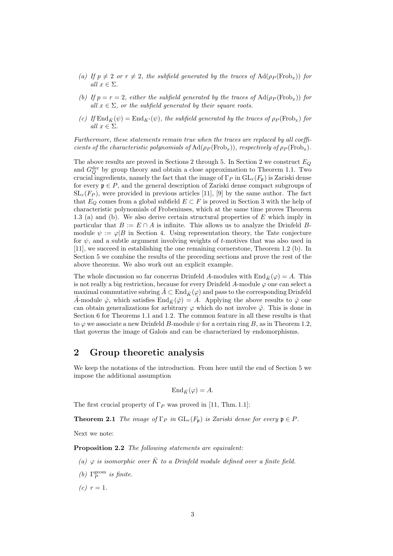- (a) If  $p \neq 2$  or  $r \neq 2$ , the subfield generated by the traces of  $\text{Ad}(\rho_P(\text{Frob}_x))$  for all  $x \in \Sigma$ .
- (b) If  $p = r = 2$ , either the subfield generated by the traces of  $\text{Ad}(\rho_P(\text{Frob}_x))$  for all  $x \in \Sigma$ , or the subfield generated by their square roots.
- (c) If  $\text{End}_{\bar{K}}(\psi) = \text{End}_{K'}(\psi)$ , the subfield generated by the traces of  $\rho_P(\text{Frob}_x)$  for all  $x \in \Sigma$ .

Furthermore, these statements remain true when the traces are replaced by all coefficients of the characteristic polynomials of  $\text{Ad}(\rho_P(\text{Frob}_x))$ , respectively of  $\rho_P(\text{Frob}_x)$ .

The above results are proved in Sections 2 through 5. In Section 2 we construct  $E_Q$ and  $G_Q^{\text{der}}$  by group theory and obtain a close approximation to Theorem 1.1. Two crucial ingredients, namely the fact that the image of  $\Gamma_P$  in  $GL_r(F_p)$  is Zariski dense for every  $\mathfrak{p} \in P$ , and the general description of Zariski dense compact subgroups of  $SL_r(F_P)$ , were provided in previous articles [11], [9] by the same author. The fact that  $E_Q$  comes from a global subfield  $E \subset F$  is proved in Section 3 with the help of characteristic polynomials of Frobeniuses, which at the same time proves Theorem 1.3 (a) and (b). We also derive certain structural properties of E which imply in particular that  $B := E \cap A$  is infinite. This allows us to analyze the Drinfeld Bmodule  $\psi := \varphi | B$  in Section 4. Using representation theory, the Tate conjecture for  $\psi$ , and a subtle argument involving weights of t-motives that was also used in [11], we succeed in establishing the one remaining cornerstone, Theorem 1.2 (b). In Section 5 we combine the results of the preceding sections and prove the rest of the above theorems. We also work out an explicit example.

The whole discussion so far concerns Drinfeld A-modules with  $\text{End}_{\bar{K}}(\varphi) = A$ . This is not really a big restriction, because for every Drinfeld A-module  $\varphi$  one can select a maximal commutative subring  $\hat{A} \subset \text{End}_{\bar{K}}(\varphi)$  and pass to the corresponding Drinfeld A-module  $\hat{\varphi}$ , which satisfies End $\bar{\kappa}(\hat{\varphi}) = \hat{A}$ . Applying the above results to  $\hat{\varphi}$  one can obtain generalizations for arbitrary  $\varphi$  which do not involve  $\hat{\varphi}$ . This is done in Section 6 for Theorems 1.1 and 1.2. The common feature in all these results is that to  $\varphi$  we associate a new Drinfeld B-module  $\psi$  for a certain ring B, as in Theorem 1.2, that governs the image of Galois and can be characterized by endomorphisms.

# 2 Group theoretic analysis

We keep the notations of the introduction. From here until the end of Section 5 we impose the additional assumption

$$
\mathrm{End}_{\bar{K}}(\varphi) = A.
$$

The first crucial property of  $\Gamma_P$  was proved in [11, Thm. 1.1]:

**Theorem 2.1** The image of  $\Gamma_P$  in  $GL_r(F_p)$  is Zariski dense for every  $\mathfrak{p} \in P$ .

Next we note:

Proposition 2.2 The following statements are equivalent:

(a)  $\varphi$  is isomorphic over  $\overline{K}$  to a Drinfeld module defined over a finite field.

- (b)  $\Gamma_P^{\text{geom}}$  is finite.
- (c)  $r = 1$ .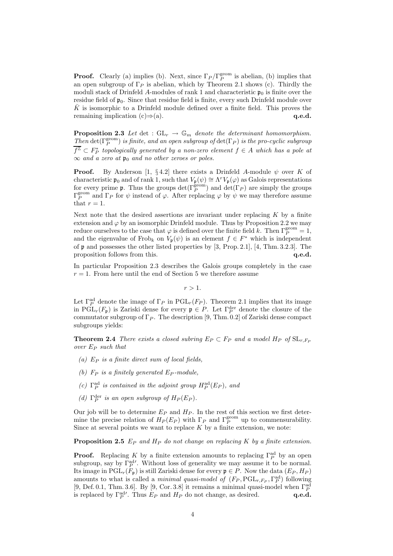**Proof.** Clearly (a) implies (b). Next, since  $\Gamma_P/\Gamma_P^{\text{geom}}$  is abelian, (b) implies that an open subgroup of  $\Gamma_P$  is abelian, which by Theorem 2.1 shows (c). Thirdly the moduli stack of Drinfeld A-modules of rank 1 and characteristic  $\mathfrak{p}_0$  is finite over the residue field of  $\mathfrak{p}_0$ . Since that residue field is finite, every such Drinfeld module over  $\overline{K}$  is isomorphic to a Drinfeld module defined over a finite field. This proves the remaining implication  $(c) \Rightarrow (a)$ . q.e.d.

**Proposition 2.3** Let det :  $GL_r \to \mathbb{G}_m$  denote the determinant homomorphism. Then  $\det(\Gamma_P^{\text{geom}})$  is finite, and an open subgroup of  $\det(\Gamma_P)$  is the pro-cyclic subgroup  $\overline{f^\mathbb{Z}}\subset F_P^*$  topologically generated by a non-zero element  $f\in A$  which has a pole at  $\infty$  and a zero at  $\mathfrak{p}_0$  and no other zeroes or poles.

**Proof.** By Anderson [1, §4.2] there exists a Drinfeld A-module  $\psi$  over K of characteristic  $\mathfrak{p}_0$  and of rank 1, such that  $V_{\mathfrak{p}}(\psi) \cong \Lambda^r V_{\mathfrak{p}}(\varphi)$  as Galois representations for every prime **p**. Thus the groups  $\det(\Gamma_P^{\text{geom}})$  and  $\det(\Gamma_P)$  are simply the groups  $\Gamma_P^{\text{geom}}$  and Γ<sub>P</sub> for  $\psi$  instead of  $\varphi$ . After replacing  $\varphi$  by  $\psi$  we may therefore assume that  $r=1$ .

Next note that the desired assertions are invariant under replacing  $K$  by a finite extension and  $\varphi$  by an isomorphic Drinfeld module. Thus by Proposition 2.2 we may reduce ourselves to the case that  $\varphi$  is defined over the finite field k. Then  $\Gamma_P^{\text{geom}}=1$ , and the eigenvalue of Frob<sub>k</sub> on  $V_{\mathfrak{p}}(\psi)$  is an element  $f \in F^*$  which is independent of p and possesses the other listed properties by [3, Prop. 2.1], [4, Thm. 3.2.3]. The proposition follows from this.  $q.e.d.$ 

In particular Proposition 2.3 describes the Galois groups completely in the case  $r = 1$ . From here until the end of Section 5 we therefore assume

 $r > 1$ .

Let  $\Gamma_P^{\text{ad}}$  denote the image of  $\Gamma_P$  in  $\text{PGL}_r(F_P)$ . Theorem 2.1 implies that its image in  $\mathrm{PGL}_r(F_{\mathfrak{p}})$  is Zariski dense for every  $\mathfrak{p} \in P$ . Let  $\Gamma_P^{\text{der}}$  denote the closure of the commutator subgroup of  $\Gamma_P$ . The description [9, Thm. 0.2] of Zariski dense compact subgroups yields:

**Theorem 2.4** There exists a closed subring  $E_P \subset F_P$  and a model  $H_P$  of  $SL_{r,F_P}$ over  $E_P$  such that

- (a)  $E_P$  is a finite direct sum of local fields.
- (b)  $F_P$  is a finitely generated  $E_P$ -module,
- (c)  $\Gamma_P^{\text{ad}}$  is contained in the adjoint group  $H_P^{\text{ad}}(E_P)$ , and
- (d)  $\Gamma_P^{\text{der}}$  is an open subgroup of  $H_P(E_P)$ .

Our job will be to determine  $E_P$  and  $H_P$ . In the rest of this section we first determine the precise relation of  $H_P(E_P)$  with  $\Gamma_P$  and  $\Gamma_P^{\text{geom}}$  up to commensurability. Since at several points we want to replace  $K$  by a finite extension, we note:

**Proposition 2.5**  $E_P$  and  $H_P$  do not change on replacing K by a finite extension.

**Proof.** Replacing K by a finite extension amounts to replacing  $\Gamma_P^{\text{ad}}$  by an open subgroup, say by  $\Gamma_P^{\text{ad}}'$ . Without loss of generality we may assume it to be normal. Its image in  $PGL_r(F_p)$  is still Zariski dense for every  $p \in P$ . Now the data  $(E_P, H_P)$ amounts to what is called a *minimal quasi-model of*  $(F_P, \text{PGL}_{r, F_P}, \Gamma_P^{\text{ad}})$  following [9, Def. 0.1, Thm. 3.6]. By [9, Cor. 3.8] it remains a minimal quasi-model when  $\Gamma_P^{\rm ad}$ is replaced by  $\Gamma_P^{\text{ad}}$ . Thus  $E_P$  and  $H_P$  do not change, as desired. **q.e.d.**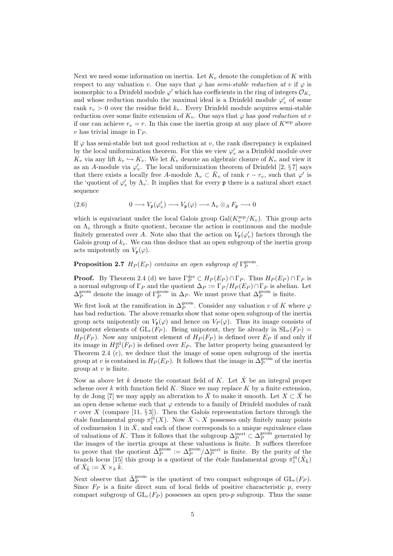Next we need some information on inertia. Let  $K_v$  denote the completion of K with respect to any valuation v. One says that  $\varphi$  has semi-stable reduction at v if  $\varphi$  is isomorphic to a Drinfeld module  $\varphi'$  which has coefficients in the ring of integers  $\mathcal{O}_{K_v}$ and whose reduction modulo the maximal ideal is a Drinfeld module  $\varphi'_v$  of some rank  $r_v > 0$  over the residue field  $k_v$ . Every Drinfeld module acquires semi-stable reduction over some finite extension of  $K_v$ . One says that  $\varphi$  has good reduction at v if one can achieve  $r_v = r$ . In this case the inertia group at any place of  $K^{\text{sep}}$  above v has trivial image in  $\Gamma_P$ .

If  $\varphi$  has semi-stable but not good reduction at v, the rank discrepancy is explained by the local uniformization theorem. For this we view  $\varphi'_v$  as a Drinfeld module over  $K_v$  via any lift  $k_v \hookrightarrow K_v$ . We let  $\bar{K}_v$  denote an algebraic closure of  $K_v$  and view it as an A-module via  $\varphi'_v$ . The local uniformization theorem of Drinfeld [2, §7] says that there exists a locally free A-module  $\Lambda_v \subset \overline{K}_v$  of rank  $r - r_v$ , such that  $\varphi'$  is the 'quotient of  $\varphi'_v$  by  $\Lambda_v$ '. It implies that for every **p** there is a natural short exact sequence

(2.6) 
$$
0 \longrightarrow V_{\mathfrak{p}}(\varphi'_{v}) \longrightarrow V_{\mathfrak{p}}(\varphi) \longrightarrow \Lambda_{v} \otimes_{A} F_{\mathfrak{p}} \longrightarrow 0
$$

which is equivariant under the local Galois group  $Gal(K_v^{\text{sep}}/K_v)$ . This group acts on  $\Lambda_v$  through a finite quotient, because the action is continuous and the module finitely generated over A. Note also that the action on  $V_{\mathfrak{p}}(\varphi'_{v})$  factors through the Galois group of  $k_v$ . We can thus deduce that an open subgroup of the inertia group acts unipotently on  $V_{\mathfrak{p}}(\varphi)$ .

**Proposition 2.7**  $H_P(E_P)$  contains an open subgroup of  $\Gamma_P^{\text{geom}}$ .

**Proof.** By Theorem 2.4 (d) we have  $\Gamma_P^{\text{der}} \subset H_P(E_P) \cap \Gamma_P$ . Thus  $H_P(E_P) \cap \Gamma_P$  is a normal subgroup of  $\Gamma_P$  and the quotient  $\Delta_P := \Gamma_P / H_P(E_P) \cap \Gamma_P$  is abelian. Let  $\Delta_P^{\text{geom}}$  denote the image of  $\Gamma_P^{\text{geom}}$  in  $\Delta_P$ . We must prove that  $\Delta_P^{\text{geom}}$  is finite.

We first look at the ramification in  $\Delta_P^{\text{geom}}$ . Consider any valuation v of K where  $\varphi$ has bad reduction. The above remarks show that some open subgroup of the inertia group acts unipotently on  $V_p(\varphi)$  and hence on  $V_p(\varphi)$ . Thus its image consists of unipotent elements of  $GL_r(F_P)$ . Being unipotent, they lie already in  $SL_r(F_P)$  =  $H_P(F_P)$ . Now any unipotent element of  $H_P(F_P)$  is defined over  $E_P$  if and only if its image in  $H_P^{\text{ad}}(F_P)$  is defined over  $E_P$ . The latter property being guaranteed by Theorem 2.4 (c), we deduce that the image of some open subgroup of the inertia group at v is contained in  $H_P(E_P)$ . It follows that the image in  $\Delta_P^{\text{geom}}$  of the inertia group at  $v$  is finite.

Now as above let k denote the constant field of K. Let  $\bar{X}$  be an integral proper scheme over  $k$  with function field  $K$ . Since we may replace  $K$  by a finite extension, by de Jong [7] we may apply an alteration to  $\bar{X}$  to make it smooth. Let  $X \subset \bar{X}$  be an open dense scheme such that  $\varphi$  extends to a family of Drinfeld modules of rank r over X (compare [11,  $\S 3$ ]). Then the Galois representation factors through the étale fundamental group  $\pi_1^{\text{\'et}}(X)$ . Now  $\bar{X} \setminus X$  possesses only finitely many points of codimension 1 in  $\overline{X}$ , and each of these corresponds to a unique equivalence class of valuations of K. Thus it follows that the subgroup  $\Delta_P^{\text{inert}} \subset \Delta_P^{\text{geom}}$  generated by the images of the inertia groups at these valuations is finite. It suffices therefore to prove that the quotient  $\bar{\Delta}_P^{\text{geom}} := \Delta_P^{\text{geom}} / \Delta_P^{\text{inert}}$  is finite. By the purity of the branch locus [15] this group is a quotient of the étale fundamental group  $\pi_1^{\text{\'et}}(\bar{X}_{\bar{k}})$ of  $\bar{X}_{\bar{k}} := X \times \overline{k} \cdot \overline{k}$ .

Next observe that  $\bar{\Delta}_P^{\text{geom}}$  is the quotient of two compact subgroups of  $GL_r(F_P)$ . Since  $F_P$  is a finite direct sum of local fields of positive characteristic p, every compact subgroup of  $GL_r(F_P)$  possesses an open pro-p subgroup. Thus the same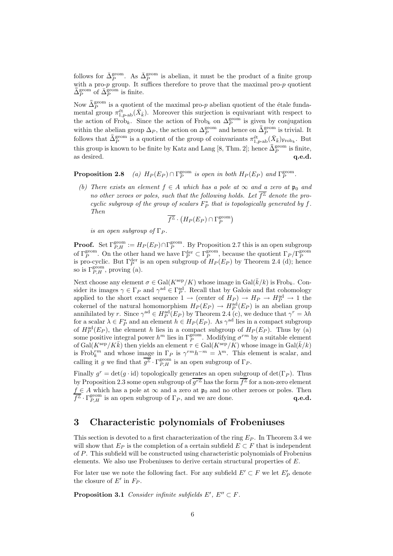follows for  $\bar{\Delta}_P^{\text{geom}}$ . As  $\bar{\Delta}_P^{\text{geom}}$  is abelian, it must be the product of a finite group with a pro- $p$  group. It suffices therefore to prove that the maximal pro- $p$  quotient  $\bar{\bar{\Delta}}_P^{\text{geom}}$  of  $\bar{\bar{\Delta}}_P^{\text{geom}}$  is finite.

Now  $\bar{\Delta}_P^{\text{geom}}$  is a quotient of the maximal pro-p abelian quotient of the étale fundamental group  $\pi_{1,p-\text{ab}}^{\text{\'et}}(\bar{X}_{\bar{k}})$ . Moreover this surjection is equivariant with respect to the action of Frob<sub>k</sub>. Since the action of Frob<sub>k</sub> on  $\Delta_P^{\text{geom}}$  is given by conjugation within the abelian group  $\Delta_P$ , the action on  $\Delta_P^{\text{geom}}$  and hence on  $\bar{\Delta}_P^{\text{geom}}$  is trivial. It follows that  $\bar{\bar{\Delta}}_P^{\text{geom}}$  is a quotient of the group of coinvariants  $\pi_{1,p-\text{ab}}^{\text{\'et}}(\bar{X}_{\bar{k}})_{\text{Frob}_k}$ . But this group is known to be finite by Katz and Lang [8, Thm. 2]; hence  $\bar{\bar{\Delta}}_P^{\text{geom}}$  is finite, as desired.

**Proposition 2.8** (a)  $H_P(E_P) \cap \Gamma_P^{\text{geom}}$  is open in both  $H_P(E_P)$  and  $\Gamma_P^{\text{geom}}$ .

(b) There exists an element  $f \in A$  which has a pole at  $\infty$  and a zero at  $\mathfrak{p}_0$  and no other zeroes or poles, such that the following holds. Let  $\overline{f^\mathbb{Z}}$  denote the procyclic subgroup of the group of scalars  $F_P^*$  that is topologically generated by f. Then

$$
\overline{f^{\mathbb{Z}}}\cdot\left(H_{P}(E_{P})\cap\Gamma_{P}^{\text{geom}}\right)
$$

is an open subgroup of  $\Gamma_P$ .

**Proof.** Set  $\Gamma_{P,H}^{\text{geom}} := H_P(E_P) \cap \Gamma_P^{\text{geom}}$ . By Proposition 2.7 this is an open subgroup of  $\Gamma_P^{\text{geom}}$ . On the other hand we have  $\Gamma_P^{\text{der}} \subset \Gamma_P^{\text{geom}}$ , because the quotient  $\Gamma_P/\Gamma_P^{\text{geom}}$ is pro-cyclic. But  $\Gamma_P^{\text{der}}$  is an open subgroup of  $H_P(E_P)$  by Theorem 2.4 (d); hence so is  $\Gamma_{P,H}^{\text{geom}}$ , proving (a).

Next choose any element  $\sigma \in \text{Gal}(K^{\text{sep}}/K)$  whose image in  $\text{Gal}(\bar{k}/k)$  is Frob<sub>k</sub>. Consider its images  $\gamma \in \Gamma_P$  and  $\gamma^{\text{ad}} \in \Gamma_P^{\text{ad}}$ . Recall that by Galois and flat cohomology applied to the short exact sequence  $1 \rightarrow (center\ of\ H_P) \rightarrow H_P \rightarrow H_P^{\rm ad} \rightarrow 1$  the cokernel of the natural homomorphism  $H_P(E_P) \to H_P^{\text{ad}}(E_P)$  is an abelian group annihilated by r. Since  $\gamma^{\text{ad}} \in H_P^{\text{ad}}(E_P)$  by Theorem 2.4 (c), we deduce that  $\gamma^r = \lambda h$ for a scalar  $\lambda \in F_P^*$  and an element  $h \in H_P(E_P)$ . As  $\gamma^{\text{ad}}$  lies in a compact subgroup of  $H_P^{\text{ad}}(E_P)$ , the element h lies in a compact subgroup of  $H_P(E_P)$ . Thus by (a) some positive integral power  $h^m$  lies in  $\Gamma_P^{\text{geom}}$ . Modifying  $\sigma^{rm}$  by a suitable element of Gal( $K^{\text{sep}}/K\bar{k}$ ) then yields an element  $\tau \in \text{Gal}(K^{\text{sep}}/K)$  whose image in  $\text{Gal}(\bar{k}/k)$ is Frob<sup>rm</sup> and whose image in  $\Gamma_P$  is  $\gamma^{rm}h^{-m} = \lambda^m$ . This element is scalar, and calling it g we find that  $\overline{g^{\mathbb{Z}}}\cdot\Gamma_{P,H}^{\text{geom}}$  is an open subgroup of  $\Gamma_P$ .

Finally  $g^r = det(g \cdot id)$  topologically generates an open subgroup of  $det(\Gamma_P)$ . Thus by Proposition 2.3 some open subgroup of  $\overline{g^{r\Z}}$  has the form  $\overline{f^\Z}$  for a non-zero element  $f \in A$  which has a pole at  $\infty$  and a zero at  $\mathfrak{p}_0$  and no other zeroes or poles. Then  $f^{\mathbb{Z}} \cdot \Gamma_{P,H}^{\text{geom}}$  is an open subgroup of  $\Gamma_P$ , and we are done. **q.e.d. q.e.d.** 

# 3 Characteristic polynomials of Frobeniuses

This section is devoted to a first characterization of the ring  $E_P$ . In Theorem 3.4 we will show that  $E_P$  is the completion of a certain subfield  $E \subset F$  that is independent of P. This subfield will be constructed using characteristic polynomials of Frobenius elements. We also use Frobeniuses to derive certain structural properties of E.

For later use we note the following fact. For any subfield  $E' \subset F$  we let  $E'_P$  denote the closure of  $E'$  in  $F_P$ .

**Proposition 3.1** Consider infinite subfields  $E'$ ,  $E'' \subset F$ .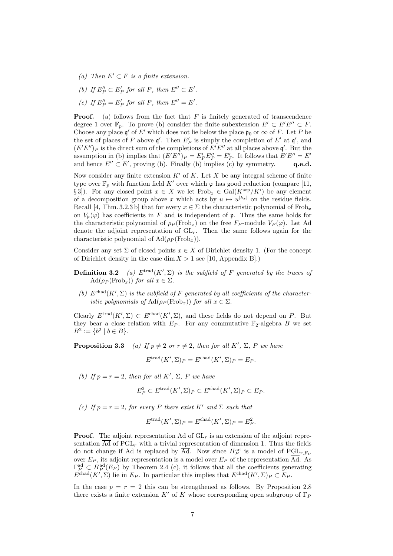- (a) Then  $E' \subset F$  is a finite extension.
- (b) If  $E''_P \subset E'_P$  for all P, then  $E'' \subset E'$ .
- (c) If  $E_P'' = E_P'$  for all P, then  $E'' = E'$ .

**Proof.** (a) follows from the fact that  $F$  is finitely generated of transcendence degree 1 over  $\mathbb{F}_p$ . To prove (b) consider the finite subextension  $E' \subset E'E'' \subset F$ . Choose any place  $\mathfrak{q}'$  of E' which does not lie below the place  $\mathfrak{p}_0$  or  $\infty$  of F. Let P be the set of places of F above  $\mathfrak{q}'$ . Then  $E'_P$  is simply the completion of  $E'$  at  $\mathfrak{q}'$ , and  $(E'E'')_P$  is the direct sum of the completions of  $E'E''$  at all places above q'. But the assumption in (b) implies that  $(E'E'')_P = E'_P E''_P = E'_P$ . It follows that  $E'E'' = E'$ and hence  $E'' \subset E'$ , proving (b). Finally (b) implies (c) by symmetry.  $\bf{q.e.d.}$ 

Now consider any finite extension  $K'$  of K. Let X be any integral scheme of finite type over  $\mathbb{F}_p$  with function field K' over which  $\varphi$  has good reduction (compare [11, §3]). For any closed point  $x \in X$  we let  $Frob_x \in Gal(K^{\text{sep}}/K')$  be any element of a decomposition group above x which acts by  $u \mapsto u^{|k_x|}$  on the residue fields. Recall [4, Thm. 3.2.3 b] that for every  $x \in \Sigma$  the characteristic polynomial of Frob<sub>x</sub> on  $V_{\mathfrak{p}}(\varphi)$  has coefficients in F and is independent of **p**. Thus the same holds for the characteristic polynomial of  $\rho_P(\text{Frob}_x)$  on the free  $F_P$ -module  $V_P(\varphi)$ . Let Ad denote the adjoint representation of  $GL_r$ . Then the same follows again for the characteristic polynomial of  $\text{Ad}(\rho_P(\text{Frob}_x)).$ 

Consider any set  $\Sigma$  of closed points  $x \in X$  of Dirichlet density 1. (For the concept of Dirichlet density in the case dim  $X > 1$  see [10, Appendix B].)

- **Definition 3.2** (a)  $E^{trad}(K', \Sigma)$  is the subfield of F generated by the traces of  $\text{Ad}(\rho_P(\text{Frob}_x))$  for all  $x \in \Sigma$ .
- (b)  $E^{chad}(K', \Sigma)$  is the subfield of F generated by all coefficients of the characteristic polynomials of  $\text{Ad}(\rho_P(\text{Frob}_x))$  for all  $x \in \Sigma$ .

Clearly  $E^{trad}(K', \Sigma) \subset E^{chad}(K', \Sigma)$ , and these fields do not depend on P. But they bear a close relation with  $E_P$ . For any commutative  $\mathbb{F}_2$ -algebra B we set  $B^2 := \{b^2 \mid b \in B\}.$ 

**Proposition 3.3** (a) If  $p \neq 2$  or  $r \neq 2$ , then for all K',  $\Sigma$ , P we have

 $E^{\text{trad}}(K', \Sigma)_P = E^{\text{chad}}(K', \Sigma)_P = E_P.$ 

(b) If  $p = r = 2$ , then for all K',  $\Sigma$ , P we have

 $E_P^2 \subset E^{\text{trad}}(K', \Sigma)_P \subset E^{\text{chad}}(K', \Sigma)_P \subset E_P.$ 

(c) If  $p = r = 2$ , for every P there exist K' and  $\Sigma$  such that

$$
E^{\text{trad}}(K', \Sigma)_P = E^{\text{chad}}(K', \Sigma)_P = E_P^2.
$$

**Proof.** The adjoint representation Ad of  $GL<sub>r</sub>$  is an extension of the adjoint representation  $\overline{\text{Ad}}$  of PGL<sub>r</sub> with a trivial representation of dimension 1. Thus the fields do not change if Ad is replaced by  $\overline{\text{Ad}}$ . Now since  $H_P^{\text{ad}}$  is a model of  $PGL_{r,F_P}$ over  $E_P$ , its adjoint representation is a model over  $E_P$  of the representation  $\overline{Ad}$ . As  $\Gamma_P^{\rm ad} \subset H_P^{\rm ad}(E_P)$  by Theorem 2.4 (c), it follows that all the coefficients generating  $E^{\text{chad}}(K', \Sigma)$  lie in  $E_P$ . In particular this implies that  $E^{\text{chad}}(K', \Sigma)_P \subset E_P$ .

In the case  $p = r = 2$  this can be strengthened as follows. By Proposition 2.8 there exists a finite extension K' of K whose corresponding open subgroup of  $\Gamma_P$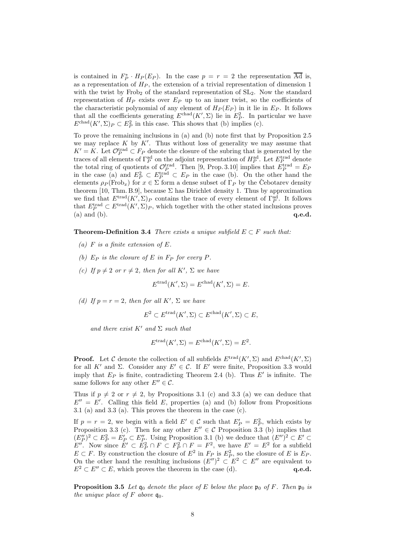is contained in  $F_P^* \cdot H_P(E_P)$ . In the case  $p = r = 2$  the representation  $\overline{Ad}$  is, as a representation of  $H_P$ , the extension of a trivial representation of dimension 1 with the twist by Frob<sub>2</sub> of the standard representation of  $SL<sub>2</sub>$ . Now the standard representation of  $H_P$  exists over  $E_P$  up to an inner twist, so the coefficients of the characteristic polynomial of any element of  $H_P(E_P)$  in it lie in  $E_P$ . It follows that all the coefficients generating  $E^{\text{chad}}(K', \Sigma)$  lie in  $E_P^2$ . In particular we have  $E<sup>chad</sup>(K', \Sigma)P \subset E_P^2$  in this case. This shows that (b) implies (c).

To prove the remaining inclusions in (a) and (b) note first that by Proposition 2.5 we may replace  $K$  by  $K'$ . Thus without loss of generality we may assume that  $K' = K$ . Let  $\mathcal{O}_P^{\text{trad}} \subset F_P$  denote the closure of the subring that is generated by the traces of all elements of  $\Gamma_P^{\text{ad}}$  on the adjoint representation of  $H_P^{\text{ad}}$ . Let  $E_P^{\text{trad}}$  denote the total ring of quotients of  $\mathcal{O}_P^{\text{trad}}$ . Then [9, Prop. 3.10] implies that  $E_P^{\text{trad}} = E_P$ in the case (a) and  $E_P^2 \subset E_P^{\text{trad}} \subset E_P$  in the case (b). On the other hand the elements  $\rho_P(\text{Frob}_x)$  for  $x \in \Sigma$  form a dense subset of  $\Gamma_P$  by the Cebotarev density theorem [10, Thm. B.9], because  $\Sigma$  has Dirichlet density 1. Thus by approximation we find that  $E^{trad}(K', \Sigma)_P$  contains the trace of every element of  $\Gamma_P^{ad}$ . It follows that  $E_P^{\text{trad}} \subset E^{\text{trad}}(K', \Sigma)_P$ , which together with the other stated inclusions proves (a) and (b).  $\qquad \qquad \mathbf{q.e.d.}$ 

**Theorem-Definition 3.4** There exists a unique subfield  $E \subset F$  such that:

- (a)  $F$  is a finite extension of  $E$ .
- (b)  $E_P$  is the closure of E in  $F_P$  for every P.
- (c) If  $p \neq 2$  or  $r \neq 2$ , then for all K',  $\Sigma$  we have

$$
E^{\text{trad}}(K', \Sigma) = E^{\text{chad}}(K', \Sigma) = E.
$$

(d) If  $p = r = 2$ , then for all K',  $\Sigma$  we have

$$
E^2 \subset E^{\text{trad}}(K', \Sigma) \subset E^{\text{chad}}(K', \Sigma) \subset E,
$$

and there exist K' and  $\Sigma$  such that

$$
E^{\text{trad}}(K', \Sigma) = E^{\text{chad}}(K', \Sigma) = E^2.
$$

**Proof.** Let C denote the collection of all subfields  $E^{\text{trad}}(K', \Sigma)$  and  $E^{\text{chad}}(K', \Sigma)$ for all K' and Σ. Consider any  $E' \in \mathcal{C}$ . If E' were finite, Proposition 3.3 would imply that  $E_P$  is finite, contradicting Theorem 2.4 (b). Thus  $E'$  is infinite. The same follows for any other  $E'' \in \mathcal{C}$ .

Thus if  $p \neq 2$  or  $r \neq 2$ , by Propositions 3.1 (c) and 3.3 (a) we can deduce that  $E'' = E'$ . Calling this field E, properties (a) and (b) follow from Propositions 3.1 (a) and 3.3 (a). This proves the theorem in the case (c).

If  $p = r = 2$ , we begin with a field  $E' \in \mathcal{C}$  such that  $E'_P = E_P^2$ , which exists by Proposition 3.3 (c). Then for any other  $E'' \in \mathcal{C}$  Proposition 3.3 (b) implies that  $(E''_P)^2 \subset E_P^2 = E'_P \subset E''_P$ . Using Proposition 3.1 (b) we deduce that  $(E'')^2 \subset E' \subset$ E''. Now since  $E' \subset E_P^2 \cap F \subset F_P^2 \cap F = F^2$ , we have  $E' = E^2$  for a subfield  $E \subset F$ . By construction the closure of  $E^2$  in  $F_P$  is  $E_P^2$ , so the closure of E is  $E_P$ . On the other hand the resulting inclusions  $(E'')^2 \subset E^2 \subset E''$  are equivalent to  $E^2 \subset E'' \subset E$ , which proves the theorem in the case (d). q.e.d.

**Proposition 3.5** Let  $\mathfrak{q}_0$  denote the place of E below the place  $\mathfrak{p}_0$  of F. Then  $\mathfrak{p}_0$  is the unique place of F above  $q_0$ .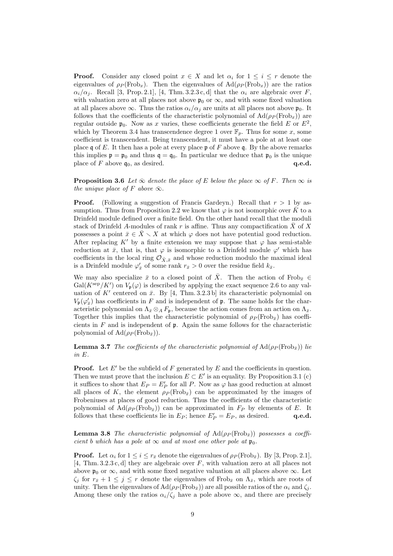**Proof.** Consider any closed point  $x \in X$  and let  $\alpha_i$  for  $1 \leq i \leq r$  denote the eigenvalues of  $\rho_P(\text{Frob}_x)$ . Then the eigenvalues of  $\text{Ad}(\rho_P(\text{Frob}_x))$  are the ratios  $\alpha_i/\alpha_j$ . Recall [3, Prop. 2.1], [4, Thm. 3.2.3 c, d] that the  $\alpha_i$  are algebraic over F, with valuation zero at all places not above  $\mathfrak{p}_0$  or  $\infty$ , and with some fixed valuation at all places above  $\infty$ . Thus the ratios  $\alpha_i/\alpha_j$  are units at all places not above  $\mathfrak{p}_0$ . It follows that the coefficients of the characteristic polynomial of  $\text{Ad}(\rho_P(\text{Frob}_x))$  are regular outside  $\mathfrak{p}_0$ . Now as x varies, these coefficients generate the field E or  $E^2$ , which by Theorem 3.4 has transcendence degree 1 over  $\mathbb{F}_p$ . Thus for some x, some coefficient is transcendent. Being transcendent, it must have a pole at at least one place q of E. It then has a pole at every place  $\mathfrak p$  of F above q. By the above remarks this implies  $p = p_0$  and thus  $q = q_0$ . In particular we deduce that  $p_0$  is the unique place of F above  $\mathfrak{q}_0$ , as desired.  $\mathfrak{q.e.d.}$ 

**Proposition 3.6** Let  $\bar{\infty}$  denote the place of E below the place  $\infty$  of F. Then  $\infty$  is the unique place of F above  $\bar{\infty}$ .

**Proof.** (Following a suggestion of Francis Gardeyn.) Recall that  $r > 1$  by assumption. Thus from Proposition 2.2 we know that  $\varphi$  is not isomorphic over K to a Drinfeld module defined over a finite field. On the other hand recall that the moduli stack of Drinfeld A-modules of rank r is affine. Thus any compactification  $\overline{X}$  of  $\overline{X}$ possesses a point  $\bar{x} \in \bar{X} \setminus X$  at which  $\varphi$  does not have potential good reduction. After replacing K<sup>'</sup> by a finite extension we may suppose that  $\varphi$  has semi-stable reduction at  $\bar{x}$ , that is, that  $\varphi$  is isomorphic to a Drinfeld module  $\varphi'$  which has coefficients in the local ring  $\mathcal{O}_{\bar{X},\bar{x}}$  and whose reduction modulo the maximal ideal is a Drinfeld module  $\varphi'_{\bar{x}}$  of some rank  $r_{\bar{x}} > 0$  over the residue field  $k_{\bar{x}}$ .

We may also specialize  $\bar{x}$  to a closed point of  $\bar{X}$ . Then the action of Frob<sub> $\bar{x}$ </sub> ∈  $Gal(K^{\text{sep}}/K')$  on  $V_{\mathfrak{p}}(\varphi)$  is described by applying the exact sequence 2.6 to any valuation of  $K'$  centered on  $\bar{x}$ . By [4, Thm. 3.2.3 b] its characteristic polynomial on  $V_{\mathfrak{p}}(\varphi'_{\bar{x}})$  has coefficients in F and is independent of **p**. The same holds for the characteristic polynomial on  $\Lambda_{\bar{x}} \otimes_A F_p$ , because the action comes from an action on  $\Lambda_{\bar{x}}$ . Together this implies that the characteristic polynomial of  $\rho_P(\text{Frob}_{\bar{r}})$  has coefficients in  $F$  and is independent of  $\mathfrak p$ . Again the same follows for the characteristic polynomial of  $\text{Ad}(\rho_P(\text{Frob}_{\bar{x}})).$ 

**Lemma 3.7** The coefficients of the characteristic polynomial of  $\text{Ad}(\rho_P(\text{Frob}_{\bar{x}}))$  lie in E.

**Proof.** Let E' be the subfield of F generated by E and the coefficients in question. Then we must prove that the inclusion  $E \subset E'$  is an equality. By Proposition 3.1 (c) it suffices to show that  $E_P = E'_P$  for all P. Now as  $\varphi$  has good reduction at almost all places of K, the element  $\rho_P(\text{Frob}_{\bar{x}})$  can be approximated by the images of Frobeniuses at places of good reduction. Thus the coefficients of the characteristic polynomial of  $\text{Ad}(\rho_P(\text{Frob}_{\bar{x}}))$  can be approximated in  $F_P$  by elements of E. It follows that these coefficients lie in  $E_P$ ; hence  $E_P' = E_P$ , as desired. q.e.d.

**Lemma 3.8** The characteristic polynomial of  $\text{Ad}(\rho_P(\text{Frob}_{\bar{x}}))$  possesses a coefficient b which has a pole at  $\infty$  and at most one other pole at  $\mathfrak{p}_0$ .

**Proof.** Let  $\alpha_i$  for  $1 \leq i \leq r_{\bar{x}}$  denote the eigenvalues of  $\rho_P(\text{Frob}_{\bar{x}})$ . By [3, Prop. 2.1], [4, Thm.  $3.2.3 c$ , d] they are algebraic over F, with valuation zero at all places not above  $\mathfrak{p}_0$  or  $\infty$ , and with some fixed negative valuation at all places above  $\infty$ . Let  $\zeta_j$  for  $r_{\bar{x}} + 1 \leq j \leq r$  denote the eigenvalues of Frob<sub> $\bar{x}$ </sub> on  $\Lambda_{\bar{x}}$ , which are roots of unity. Then the eigenvalues of  $\text{Ad}(\rho_P(\text{Frob}_{\bar{x}}))$  are all possible ratios of the  $\alpha_i$  and  $\zeta_i$ . Among these only the ratios  $\alpha_i/\zeta_j$  have a pole above  $\infty$ , and there are precisely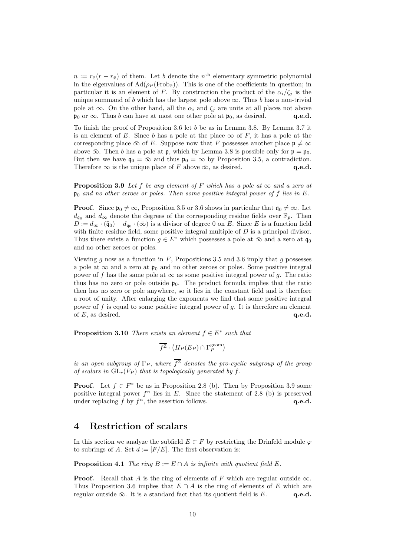$n := r_{\bar{x}}(r - r_{\bar{x}})$  of them. Let b denote the  $n<sup>th</sup>$  elementary symmetric polynomial in the eigenvalues of  $\text{Ad}(\rho_P(\text{Frob}_{\bar{x}}))$ . This is one of the coefficients in question; in particular it is an element of F. By construction the product of the  $\alpha_i/\zeta_i$  is the unique summand of b which has the largest pole above  $\infty$ . Thus b has a non-trivial pole at  $\infty$ . On the other hand, all the  $\alpha_i$  and  $\zeta_j$  are units at all places not above  $\mathfrak{p}_0$  or  $\infty$ . Thus b can have at most one other pole at  $\mathfrak{p}_0$ , as desired. q.e.d.

To finish the proof of Proposition 3.6 let b be as in Lemma 3.8. By Lemma 3.7 it is an element of E. Since b has a pole at the place  $\infty$  of F, it has a pole at the corresponding place  $\bar{\infty}$  of E. Suppose now that F possesses another place  $\mathfrak{p} \neq \infty$ above  $\bar{\infty}$ . Then b has a pole at p, which by Lemma 3.8 is possible only for  $\mathfrak{p} = \mathfrak{p}_0$ . But then we have  $\mathfrak{q}_0 = \bar{\infty}$  and thus  $\mathfrak{p}_0 = \infty$  by Proposition 3.5, a contradiction. Therefore  $\infty$  is the unique place of F above  $\bar{\infty}$ , as desired. q.e.d.

**Proposition 3.9** Let f be any element of F which has a pole at  $\infty$  and a zero at  $\mathfrak{p}_0$  and no other zeroes or poles. Then some positive integral power of f lies in E.

**Proof.** Since  $\mathfrak{p}_0 \neq \infty$ , Proposition 3.5 or 3.6 shows in particular that  $\mathfrak{q}_0 \neq \infty$ . Let  $d_{\mathfrak{q}_0}$  and  $d_{\infty}$  denote the degrees of the corresponding residue fields over  $\mathbb{F}_p$ . Then  $D := d_{\bar{\infty}} \cdot (\bar{\mathfrak{q}}_0) - d_{\mathfrak{q}_0} \cdot (\bar{\infty})$  is a divisor of degree 0 on E. Since E is a function field with finite residue field, some positive integral multiple of  $D$  is a principal divisor. Thus there exists a function  $g \in E^*$  which possesses a pole at  $\bar{\infty}$  and a zero at  $\mathfrak{q}_0$ and no other zeroes or poles.

Viewing g now as a function in  $F$ , Propositions 3.5 and 3.6 imply that g possesses a pole at  $\infty$  and a zero at  $\mathfrak{p}_0$  and no other zeroes or poles. Some positive integral power of f has the same pole at  $\infty$  as some positive integral power of g. The ratio thus has no zero or pole outside  $\mathfrak{p}_0$ . The product formula implies that the ratio then has no zero or pole anywhere, so it lies in the constant field and is therefore a root of unity. After enlarging the exponents we find that some positive integral power of  $f$  is equal to some positive integral power of  $g$ . It is therefore an element of  $E$ , as desired.  $q.e.d.$ 

**Proposition 3.10** There exists an element  $f \in E^*$  such that

 $\overline{f^{\mathbb{Z}}}\cdot\left(H_{P}(E_{P})\cap\Gamma_{P}^{\text{geom}}\right)$ 

is an open subgroup of  $\Gamma_P$ , where  $\overline{f^{\mathbb{Z}}}$  denotes the pro-cyclic subgroup of the group of scalars in  $GL_r(F_P)$  that is topologically generated by f.

**Proof.** Let  $f \in F^*$  be as in Proposition 2.8 (b). Then by Proposition 3.9 some positive integral power  $f^n$  lies in E. Since the statement of 2.8 (b) is preserved under replacing  $f$  by  $f^n$ , the assertion follows.  $q.e.d.$ 

#### 4 Restriction of scalars

In this section we analyze the subfield  $E \subset F$  by restricting the Drinfeld module  $\varphi$ to subrings of A. Set  $d := [F/E]$ . The first observation is:

**Proposition 4.1** The ring  $B := E \cap A$  is infinite with quotient field E.

**Proof.** Recall that A is the ring of elements of F which are regular outside  $\infty$ . Thus Proposition 3.6 implies that  $E \cap A$  is the ring of elements of E which are regular outside  $\bar{\infty}$ . It is a standard fact that its quotient field is E. q.e.d.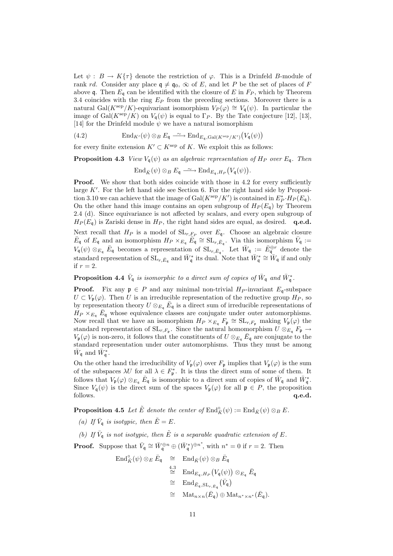Let  $\psi : B \to K\{\tau\}$  denote the restriction of  $\varphi$ . This is a Drinfeld B-module of rank *rd*. Consider any place  $\mathfrak{q} \neq \mathfrak{q}_0$ ,  $\bar{\infty}$  of E, and let P be the set of places of F above q. Then  $E_q$  can be identified with the closure of E in  $F_P$ , which by Theorem 3.4 coincides with the ring  $E_P$  from the preceding sections. Moreover there is a natural Gal(K<sup>sep</sup>/K)-equivariant isomorphism  $V_P(\varphi) \cong V_{\mathfrak{g}}(\psi)$ . In particular the image of Gal( $K^{\text{sep}}/K$ ) on  $V_{\mathfrak{g}}(\psi)$  is equal to  $\Gamma_P$ . By the Tate conjecture [12], [13], [14] for the Drinfeld module  $\psi$  we have a natural isomorphism

(4.2)  $\text{End}_{K'}(\psi) \otimes_B E_{\mathfrak{q}} \xrightarrow{\sim} \text{End}_{E_{\mathfrak{q}},\text{Gal}(K^{\text{sep}}/K')}(V_{\mathfrak{q}}(\psi))$ 

for every finite extension  $K' \subset K^{\text{sep}}$  of K. We exploit this as follows:

**Proposition 4.3** View  $V_a(\psi)$  as an algebraic representation of  $H_P$  over  $E_a$ . Then

 $\operatorname{End}_{\bar{K}}(\psi)\otimes_B E_{\mathfrak{q}} \xrightarrow{\sim} \operatorname{End}_{E_{\mathfrak{q}},H_P}(V_{\mathfrak{q}}(\psi)).$ 

**Proof.** We show that both sides coincide with those in 4.2 for every sufficiently large  $K'$ . For the left hand side see Section 6. For the right hand side by Proposition 3.10 we can achieve that the image of  $Gal(K^{\text{sep}}/K')$  is contained in  $E_P^* \cdot H_P(E_{\mathfrak{q}})$ . On the other hand this image contains an open subgroup of  $H_P(E_q)$  by Theorem 2.4 (d). Since equivariance is not affected by scalars, and every open subgroup of  $H_P(E_{\mathfrak{a}})$  is Zariski dense in  $H_P$ , the right hand sides are equal, as desired. q.e.d.

Next recall that  $H_P$  is a model of  $SL_{r, F_P}$  over  $E_q$ . Choose an algebraic closure  $\bar{E}_{\mathsf{q}}$  of  $E_{\mathsf{q}}$  and an isomorphism  $H_P \times_{E_{\mathsf{q}}} \overline{E}_{\mathsf{q}} \cong SL_{r,\bar{E}_{\mathsf{q}}}$ . Via this isomorphism  $\bar{V}_{\mathsf{q}} :=$  $V_{\mathfrak{q}}(\psi) \otimes_{E_{\mathfrak{q}}} \bar{E}_{\mathfrak{q}}$  becomes a representation of  $SL_{r,\bar{E}_{\mathfrak{q}}}$ . Let  $\bar{W}_{\mathfrak{q}} := \bar{E}_{\mathfrak{q}}^{\oplus r}$  denote the standard representation of  $SL_{r,\bar{E}_q}$  and  $\bar{W}_{\mathfrak{q}}^*$  its dual. Note that  $\bar{W}_{\mathfrak{q}}^* \cong \bar{W}_{\mathfrak{q}}$  if and only if  $r=2$ .

**Proposition 4.4**  $\bar{V}_q$  is isomorphic to a direct sum of copies of  $\bar{W}_q$  and  $\bar{W}_q^*$ .

**Proof.** Fix any  $p \in P$  and any minimal non-trivial  $H_P$ -invariant  $E_q$ -subspace  $U \subset V_{\mathfrak{p}}(\varphi)$ . Then U is an irreducible representation of the reductive group  $H_P$ , so by representation theory  $U \otimes_{E_q} \bar{E}_q$  is a direct sum of irreducible representations of  $H_P \times_{E_q} \bar{E}_q$  whose equivalence classes are conjugate under outer automorphisms. Now recall that we have an isomorphism  $H_P \times_{E_q} F_{\mathfrak{p}} \cong SL_{r,F_{\mathfrak{p}}}$  making  $V_{\mathfrak{p}}(\varphi)$  the standard representation of  $SL_{r, F_p}$ . Since the natural homomorphism  $U \otimes_{E_q} F_p \to$  $V_{\mathfrak{p}}(\varphi)$  is non-zero, it follows that the constituents of  $U \otimes_{E_q} \bar{E}_q$  are conjugate to the standard representation under outer automorphisms. Thus they must be among  $\bar{W}_{\mathfrak{q}}$  and  $\bar{W}_{\mathfrak{q}}^*$ .

On the other hand the irreducibility of  $V_{\mathfrak{p}}(\varphi)$  over  $F_{\mathfrak{p}}$  implies that  $V_{\mathfrak{p}}(\varphi)$  is the sum of the subspaces  $\lambda U$  for all  $\lambda \in F_{\mathfrak{p}}^*$ . It is thus the direct sum of some of them. It follows that  $V_{\mathfrak{p}}(\varphi) \otimes_{E_{\mathfrak{q}}} \bar{E}_{\mathfrak{q}}$  is isomorphic to a direct sum of copies of  $\bar{W}_{\mathfrak{q}}$  and  $\bar{W}_{\mathfrak{q}}^*$ . Since  $V_q(\psi)$  is the direct sum of the spaces  $V_p(\varphi)$  for all  $\mathfrak{p} \in P$ , the proposition follows.  $q.e.d.$  $q.e.d.$ 

**Proposition 4.5** Let  $\tilde{E}$  denote the center of  $\text{End}_{\tilde{K}}^{\circ}(\psi) := \text{End}_{\tilde{K}}(\psi) \otimes_B E$ .

- (a) If  $\bar{V}_q$  is isotypic, then  $\tilde{E} = E$ .
- (b) If  $\bar{V}_q$  is not isotypic, then  $\tilde{E}$  is a separable quadratic extension of E.

**Proof.** Suppose that  $\bar{V}_q \cong \bar{W}_q^{\oplus n} \oplus (\bar{W}_q^*)^{\oplus n^*}$ , with  $n^* = 0$  if  $r = 2$ . Then

$$
\begin{array}{rcl}\n\operatorname{End}_{\bar{K}}^{\circ}(\psi)\otimes_{E}\bar{E}_{\mathfrak{q}} & \cong & \operatorname{End}_{\bar{K}}(\psi)\otimes_{B}\bar{E}_{\mathfrak{q}} \\
& \stackrel{4.3}{\cong} & \operatorname{End}_{E_{\mathfrak{q}},H_{P}}\left(V_{\mathfrak{q}}(\psi)\right)\otimes_{E_{\mathfrak{q}}}\bar{E}_{\mathfrak{q}} \\
& \cong & \operatorname{End}_{\bar{E}_{\mathfrak{q}},\operatorname{SL}_{r,\bar{E}_{\mathfrak{q}}}}\left(\bar{V}_{\mathfrak{q}}\right) \\
& \cong & \operatorname{Mat}_{n\times n}(\bar{E}_{\mathfrak{q}})\oplus\operatorname{Mat}_{n\times n*}(\bar{E}_{\mathfrak{q}}).\n\end{array}
$$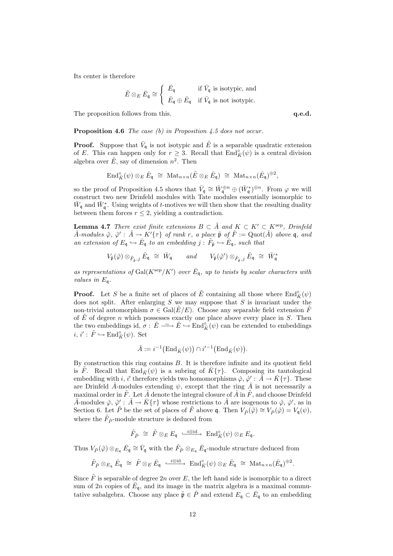Its center is therefore

$$
\tilde{E}\otimes_E \bar{E}_{\mathfrak{q}}\cong \left\{\begin{array}{ll} \bar{E}_{\mathfrak{q}} & \text{if }\bar{V}_{\mathfrak{q}}\text{ is isotypic, and} \\ \bar{E}_{\mathfrak{q}}\oplus \bar{E}_{\mathfrak{q}} & \text{if }\bar{V}_{\mathfrak{q}}\text{ is not isotypic.} \end{array}\right.
$$

The proposition follows from this.  $q.e.d.$ 

**Proposition 4.6** The case (b) in Proposition 4.5 does not occur.

**Proof.** Suppose that  $\bar{V}_q$  is not isotypic and  $\tilde{E}$  is a separable quadratic extension of E. This can happen only for  $r \geq 3$ . Recall that  $\text{End}_{\bar{K}}^{\circ}(\psi)$  is a central division algebra over  $\tilde{E}$ , say of dimension  $n^2$ . Then

$$
\text{End}_{\bar{K}}^{\circ}(\psi) \otimes_{E} \bar{E}_{\mathfrak{q}} \; \cong \; \text{Mat}_{n \times n}(\tilde{E} \otimes_{E} \bar{E}_{\mathfrak{q}}) \; \cong \; \text{Mat}_{n \times n}(\bar{E}_{\mathfrak{q}})^{\oplus 2},
$$

so the proof of Proposition 4.5 shows that  $\bar{V}_{\mathfrak{q}} \cong \bar{W}_{\mathfrak{q}}^{\oplus n} \oplus (\bar{W}_{\mathfrak{q}}^*)^{\oplus n}$ . From  $\varphi$  we will construct two new Drinfeld modules with Tate modules essentially isomorphic to  $\bar{W}_{\mathsf{q}}$  and  $\bar{W}_{\mathsf{q}}^*$ . Using weights of t-motives we will then show that the resulting duality between them forces  $r \leq 2$ , yielding a contradiction.

**Lemma 4.7** There exist finite extensions  $B \subset \tilde{A}$  and  $K \subset K' \subset K^{\text{sep}}$ , Drinfeld  $\tilde{A}$ -modules  $\tilde{\varphi}$ ,  $\tilde{\varphi}' : \tilde{A} \to K' \{\tau\}$  of rank r, a place  $\tilde{\mathfrak{p}}$  of  $\tilde{F} := \text{Quot}(\tilde{A})$  above q, and an extension of  $E_{\mathfrak{q}} \hookrightarrow \overline{E}_{\mathfrak{q}}$  to an embedding  $j : \tilde{F}_{\tilde{\mathfrak{p}}} \hookrightarrow \overline{E}_{\mathfrak{q}}$ , such that

$$
V_{\tilde{\mathfrak{p}}}(\tilde{\varphi}) \otimes_{\tilde{F}_{\tilde{\mathfrak{p}}},j} \bar{E}_{\mathfrak{q}} \ \cong \ \bar{W}_{\mathfrak{q}} \qquad and \qquad V_{\tilde{\mathfrak{p}}}(\tilde{\varphi}') \otimes_{\tilde{F}_{\tilde{\mathfrak{p}}},j} \bar{E}_{\mathfrak{q}} \ \cong \ \bar{W}_{\mathfrak{q}}^*
$$

as representations of  $Gal(K^{\text{sep}}/K')$  over  $\bar{E}_{\mathfrak{q}}$ , up to twists by scalar characters with values in  $E_{\mathfrak{q}}$ .

**Proof.** Let S be a finite set of places of  $\tilde{E}$  containing all those where  $\text{End}_{\tilde{K}}^{\circ}(\psi)$ does not split. After enlarging  $S$  we may suppose that  $S$  is invariant under the non-trivial automorphism  $\sigma \in \text{Gal}(\tilde{E}/E)$ . Choose any separable field extension  $\tilde{F}$ of  $E$  of degree n which possesses exactly one place above every place in  $S$ . Then the two embeddings id,  $\sigma: \tilde{E} \longrightarrow \tilde{E} \hookrightarrow \text{End}_{\tilde{K}}^{\circ}(\psi)$  can be extended to embeddings  $i, i' : \tilde{F} \hookrightarrow \text{End}_{\tilde{K}}^{\circ}(\psi)$ . Set

$$
\hat{A} := i^{-1} \big( \text{End}_{\bar{K}}(\psi) \big) \cap i'^{-1} \big( \text{End}_{\bar{K}}(\psi) \big).
$$

By construction this ring contains B. It is therefore infinite and its quotient field is F. Recall that  $\text{End}_{\bar{K}}(\psi)$  is a subring of  $\bar{K}\{\tau\}$ . Composing its tautological embedding with i, i' therefore yields two homomorphisms  $\hat{\varphi}, \hat{\varphi}' : \hat{A} \to \bar{K} \{\tau\}$ . These are Drinfeld  $\hat{A}$ -modules extending  $\psi$ , except that the ring  $\hat{A}$  is not necessarily a maximal order in  $\tilde{F}$ . Let  $\tilde{A}$  denote the integral closure of  $\hat{A}$  in  $\tilde{F}$ , and choose Drinfeld  $\tilde{A}$ -modules  $\tilde{\varphi}$ ,  $\tilde{\varphi}' : \tilde{A} \to \bar{K} \{\tau\}$  whose restrictions to  $\hat{A}$  are isogenous to  $\hat{\varphi}$ ,  $\hat{\varphi}'$ , as in Section 6. Let  $\tilde{P}$  be the set of places of  $\tilde{F}$  above q. Then  $V_{\tilde{P}}(\tilde{\varphi}) \cong V_{\tilde{P}}(\hat{\varphi}) = V_q(\psi)$ , where the  $\tilde{F}_{\tilde{P}}$ -module structure is deduced from

$$
\tilde{F}_{\tilde{P}} \;\cong\; \tilde{F} \otimes_E E_{\mathfrak{q}} \; \stackrel{\cdot i \otimes \mathrm{id}}{\longrightarrow} \; \mathrm{End}^\circ_{\tilde{K}}(\psi) \otimes_E E_{\mathfrak{q}}.
$$

Thus  $V_{\tilde{P}}(\tilde{\varphi}) \otimes_{E_{\mathfrak{q}}} \bar{E}_{\mathfrak{q}} \cong \bar{V}_{\mathfrak{q}}$  with the  $\tilde{F}_{\tilde{P}} \otimes_{E_{\mathfrak{q}}} \bar{E}_{\mathfrak{q}}$ -module structure deduced from

$$
\tilde{F}_{\tilde{P}} \otimes_{E_{\mathfrak{q}}} \bar{E}_{\mathfrak{q}} \; \cong \; \tilde{F} \otimes_E \bar{E}_{\mathfrak{q}} \; \xrightarrow{\iota \otimes \mathrm{id}} \; \operatorname{End}^{\circ}_{\bar{K}}(\psi) \otimes_E \bar{E}_{\mathfrak{q}} \; \cong \; \operatorname{Mat}_{n \times n}(\bar{E}_{\mathfrak{q}})^{\oplus 2}.
$$

Since  $\tilde{F}$  is separable of degree 2n over E, the left hand side is isomorphic to a direct sum of 2n copies of  $\bar{E}_{\mathsf{q}}$ , and its image in the matrix algebra is a maximal commutative subalgebra. Choose any place  $\tilde{\mathfrak{p}} \in \tilde{P}$  and extend  $E_{\mathfrak{q}} \subset \bar{E}_{\mathfrak{q}}$  to an embedding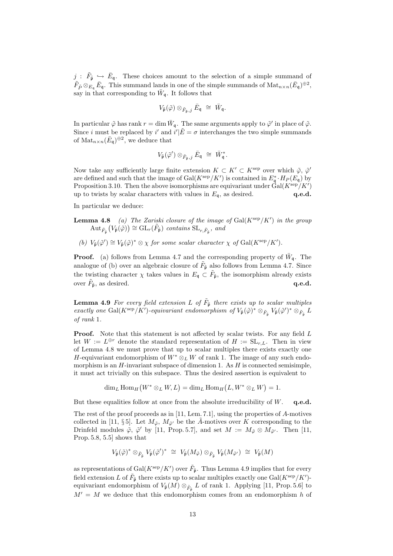$j : \tilde{F}_{\tilde{\mathfrak{p}}} \hookrightarrow \bar{E}_{\mathfrak{q}}$ . These choices amount to the selection of a simple summand of  $\tilde{F}_{\tilde{P}} \otimes_{E_{\mathfrak{q}}} \bar{E}_{\mathfrak{q}}$ . This summand lands in one of the simple summands of  $\text{Mat}_{n \times n}(\bar{E}_{\mathfrak{q}})^{\oplus 2}$ , say in that corresponding to  $\bar{W}_{\mathfrak{q}}$ . It follows that

$$
V_{\tilde{\mathfrak{p}}}(\tilde{\varphi}) \otimes_{\tilde{F}_{\tilde{\mathfrak{p}}},j} \bar{E}_{\mathfrak{q}} \; \cong \; \bar{W}_{\mathfrak{q}}.
$$

In particular  $\tilde{\varphi}$  has rank  $r = \dim \bar{W}_{\mathfrak{q}}$ . The same arguments apply to  $\tilde{\varphi}'$  in place of  $\tilde{\varphi}$ . Since i must be replaced by i' and  $i'|\tilde{E}=\sigma$  interchanges the two simple summands of  $\text{Mat}_{n\times n}(\bar{E}_{\mathfrak{q}})^{\oplus 2}$ , we deduce that

$$
V_{\tilde{\mathfrak{p}}}(\tilde{\varphi}')\otimes_{\tilde{F}_{\tilde{\mathfrak{p}}},j} \bar{E}_{\mathfrak{q}}\ \cong\ \bar{W}_{\mathfrak{q}}^*.
$$

Now take any sufficiently large finite extension  $K \subset K' \subset K^{\text{sep}}$  over which  $\tilde{\varphi}, \tilde{\varphi}'$ are defined and such that the image of  $Gal(K^{\text{sep}}/K')$  is contained in  $E^*_{\mathfrak{q}} \cdot H_P(E_{\mathfrak{q}})$  by Proposition 3.10. Then the above isomorphisms are equivariant under  $Gal(K^{\text{sep}}/K')$ up to twists by scalar characters with values in  $E_{\mathfrak{q}}$ , as desired.  $q.e.d.$ 

In particular we deduce:

- **Lemma 4.8** (a) The Zariski closure of the image of  $Gal(K^{\text{sep}}/K')$  in the group  $\mathrm{Aut}_{\tilde{F}_{\tilde{\mathfrak{p}}}}(V_{\tilde{\mathfrak{p}}}(\tilde{\varphi})) \cong \mathrm{GL}_r(\tilde{F}_{\tilde{\mathfrak{p}}})$  contains  $\mathrm{SL}_{r,\tilde{F}_{\tilde{\mathfrak{p}}}},$  and
	- (b)  $V_{\tilde{\mathfrak{p}}}(\tilde{\varphi}') \cong V_{\tilde{\mathfrak{p}}}(\tilde{\varphi})^* \otimes \chi$  for some scalar character  $\chi$  of  $Gal(K^{\text{sep}}/K').$

**Proof.** (a) follows from Lemma 4.7 and the corresponding property of  $\bar{W}_{q}$ . The analogue of (b) over an algebraic closure of  $\tilde{F}_{\tilde{\mathfrak{p}}}$  also follows from Lemma 4.7. Since the twisting character  $\chi$  takes values in  $E_{\mathfrak{q}} \subset \tilde{F}_{\tilde{\mathfrak{p}}}$ , the isomorphism already exists over  $\tilde{F}_{\tilde{\mathfrak{p}}},$  as desired.  $\qquad \qquad \mathbf{q.e.d.}$ 

**Lemma 4.9** For every field extension L of  $\tilde{F}_{\tilde{p}}$  there exists up to scalar multiples exactly one Gal( $K^{\text{sep}}/K'$ )-equivariant endomorphism of  $V_{\tilde{\mathfrak{p}}}(\tilde{\varphi})^* \otimes_{\tilde{F}_{\tilde{\mathfrak{p}}}} V_{\tilde{\mathfrak{p}}}(\tilde{\varphi}')^* \otimes_{\tilde{F}_{\tilde{\mathfrak{p}}}} L$ of rank 1.

**Proof.** Note that this statement is not affected by scalar twists. For any field L let  $W := L^{\oplus r}$  denote the standard representation of  $H := SL_{r,L}$ . Then in view of Lemma 4.8 we must prove that up to scalar multiples there exists exactly one H-equivariant endomorphism of  $W^* \otimes_L W$  of rank 1. The image of any such endomorphism is an  $H$ -invariant subspace of dimension 1. As  $H$  is connected semisimple, it must act trivially on this subspace. Thus the desired assertion is equivalent to

$$
\dim_L \text{Hom}_H(W^* \otimes_L W, L) = \dim_L \text{Hom}_H(L, W^* \otimes_L W) = 1.
$$

But these equalities follow at once from the absolute irreducibility of  $W$ . q.e.d.

The rest of the proof proceeds as in [11, Lem. 7.1], using the properties of A-motives collected in [11, §5]. Let  $M_{\tilde{\varphi}}$ ,  $M_{\tilde{\varphi}'}$  be the  $\tilde{A}$ -motives over K corresponding to the Drinfeld modules  $\tilde{\varphi}$ ,  $\tilde{\varphi}'$  by [11, Prop. 5.7], and set  $M := M_{\tilde{\varphi}} \otimes M_{\tilde{\varphi}'}$ . Then [11, Prop. 5.8, 5.5] shows that

$$
V_{\tilde{\mathfrak{p}}}(\tilde{\varphi})^* \otimes_{\tilde{F}_{\tilde{\mathfrak{p}}}} V_{\tilde{\mathfrak{p}}}(\tilde{\varphi}')^* \ \cong \ V_{\tilde{\mathfrak{p}}}(M_{\tilde{\varphi}}) \otimes_{\tilde{F}_{\tilde{\mathfrak{p}}}} V_{\tilde{\mathfrak{p}}}(M_{\tilde{\varphi}'}) \ \cong \ V_{\tilde{\mathfrak{p}}}(M)
$$

as representations of  $Gal(K^{\text{sep}}/K')$  over  $\tilde{F}_{\tilde{\mathfrak{p}}}$ . Thus Lemma 4.9 implies that for every field extension L of  $\tilde{F}_{\tilde{p}}$  there exists up to scalar multiples exactly one  $Gal(K^{\text{sep}}/K')$ equivariant endomorphism of  $V_{\tilde{\mathfrak{p}}}(M) \otimes_{\tilde{F}_{\tilde{\mathfrak{p}}}} L$  of rank 1. Applying [11, Prop. 5.6] to  $M' = M$  we deduce that this endomorphism comes from an endomorphism h of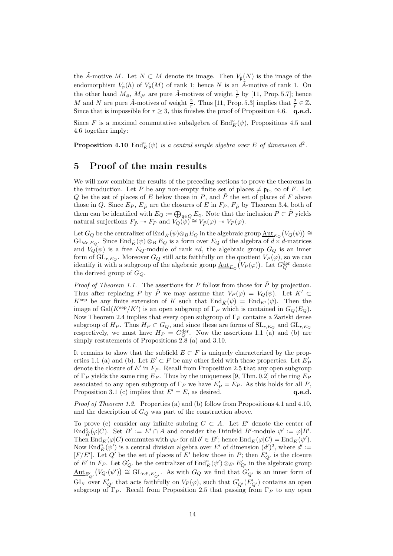the A-motive M. Let  $N \subset M$  denote its image. Then  $V_{\tilde{p}}(N)$  is the image of the endomorphism  $V_{\tilde{\mathfrak{p}}}(h)$  of  $V_{\tilde{\mathfrak{p}}}(M)$  of rank 1; hence N is an  $\tilde{A}$ -motive of rank 1. On the other hand  $M_{\tilde{\varphi}}, M_{\tilde{\varphi}'}$  are pure  $\tilde{A}$ -motives of weight  $\frac{1}{r}$  by [11, Prop. 5.7]; hence M and N are pure  $\tilde{A}$ -motives of weight  $\frac{2}{r}$ . Thus [11, Prop. 5.3] implies that  $\frac{2}{r} \in \mathbb{Z}$ . Since that is impossible for  $r \geq 3$ , this finishes the proof of Proposition 4.6. q.e.d.

Since F is a maximal commutative subalgebra of  $\text{End}_{\tilde{K}}^{\circ}(\psi)$ , Propositions 4.5 and 4.6 together imply:

**Proposition 4.10**  $\text{End}_{\bar{K}}^{\circ}(\psi)$  is a central simple algebra over E of dimension  $d^2$ .

#### 5 Proof of the main results

We will now combine the results of the preceding sections to prove the theorems in the introduction. Let P be any non-empty finite set of places  $\neq$   $\mathfrak{p}_0$ ,  $\infty$  of F. Let Q be the set of places of E below those in P, and  $\tilde{P}$  the set of places of F above those in Q. Since  $E_P$ ,  $E_{\tilde{P}}$  are the closures of E in  $F_P$ ,  $F_{\tilde{P}}$  by Theorem 3.4, both of them can be identified with  $E_Q := \bigoplus_{\mathfrak{q} \in Q} E_{\mathfrak{q}}$ . Note that the inclusion  $P \subset \tilde{P}$  yields natural surjections  $F_{\tilde{P}} \twoheadrightarrow F_P$  and  $V_Q(\psi) \cong V_{\tilde{P}}(\varphi) \twoheadrightarrow V_P(\varphi)$ .

Let  $G_Q$  be the centralizer of  $\text{End}_{\bar{K}}(\psi)\otimes_B E_Q$  in the algebraic group  $\underline{\text{Aut}}_{E_Q}(V_Q(\psi))\cong$  $GL_{dr, E_Q}$ . Since  $\text{End}_{\bar{K}}(\psi) \otimes_B E_Q$  is a form over  $E_Q$  of the algebra of  $d \times d$ -matrices and  $V_Q(\psi)$  is a free  $E_Q$ -module of rank rd, the algebraic group  $G_Q$  is an inner form of  $\mathrm{GL}_{r,E_Q}$ . Moreover  $G_Q$  still acts faithfully on the quotient  $V_P(\varphi)$ , so we can identify it with a subgroup of the algebraic group  $\underline{\mathrm{Aut}}_{E_Q}(V_P(\varphi))$ . Let  $G_Q^{\mathrm{der}}$  denote the derived group of  $G_Q$ .

*Proof of Theorem 1.1.* The assertions for P follow from those for  $\tilde{P}$  by projection. Thus after replacing P by  $\tilde{P}$  we may assume that  $V_P(\varphi) = V_Q(\psi)$ . Let  $K' \subset$  $K^{\text{sep}}$  be any finite extension of K such that  $\text{End}_{\overline{K}}(\psi) = \text{End}_{K'}(\psi)$ . Then the image of Gal $(K^{\text{sep}}/K')$  is an open subgroup of  $\Gamma_P$  which is contained in  $G_Q(E_Q)$ . Now Theorem 2.4 implies that every open subgroup of  $\Gamma_P$  contains a Zariski dense subgroup of  $H_P$ . Thus  $H_P \subset G_Q$ , and since these are forms of  $SL_{r,E_Q}$  and  $GL_{r,E_Q}$ respectively, we must have  $H_P = G_Q^{\text{der}}$ . Now the assertions 1.1 (a) and (b) are simply restatements of Propositions 2.8 (a) and 3.10.

It remains to show that the subfield  $E \subset F$  is uniquely characterized by the properties 1.1 (a) and (b). Let  $E' \subset F$  be any other field with these properties. Let  $E'_P$ denote the closure of  $E'$  in  $F_P$ . Recall from Proposition 2.5 that any open subgroup of  $\Gamma_P$  yields the same ring  $E_P$ . Thus by the uniqueness [9, Thm. 0.2] of the ring  $E_P$ associated to any open subgroup of  $\Gamma_P$  we have  $E_P' = E_P$ . As this holds for all P, Proposition 3.1 (c) implies that  $E' = E$ , as desired. q.e.d.

Proof of Theorem 1.2. Properties (a) and (b) follow from Propositions 4.1 and 4.10, and the description of  $G_Q$  was part of the construction above.

To prove (c) consider any infinite subring  $C \subset A$ . Let E' denote the center of End $\mathbb{E}_{\overline{K}}(\varphi|C)$ . Set  $B' := E' \cap A$  and consider the Drinfeld  $B'$ -module  $\psi' := \varphi|B'$ . Then  $\text{End}_{\bar{K}}(\varphi|C)$  commutes with  $\varphi_{b'}$  for all  $b' \in B'$ ; hence  $\text{End}_{\bar{K}}(\varphi|C) = \text{End}_{\bar{K}}(\psi').$ Now End $\frac{\partial}{\partial K}(\psi')$  is a central division algebra over E' of dimension  $(d')^2$ , where  $d' :=$  $[F/E']$ . Let Q' be the set of places of E' below those in P; then  $E'_{Q'}$  is the closure of E' in F<sub>P</sub>. Let  $G'_{Q'}$  be the centralizer of  $\text{End}_{\tilde{K}}^{\circ}(\psi') \otimes_{E'} E'_{Q'}$  in the algebraic group  $\underline{\mathrm{Aut}}_{E'_{Q'}}(V_{Q'}(\psi')) \cong \mathrm{GL}_{rd',E'_{Q'}}$ . As with  $G_Q$  we find that  $G'_{Q'}$  is an inner form of  $GL_r$  over  $E'_{Q'}$  that acts faithfully on  $V_P(\varphi)$ , such that  $G'_{Q'}(E'_{Q'})$  contains an open subgroup of  $\Gamma_P$ . Recall from Proposition 2.5 that passing from  $\Gamma_P$  to any open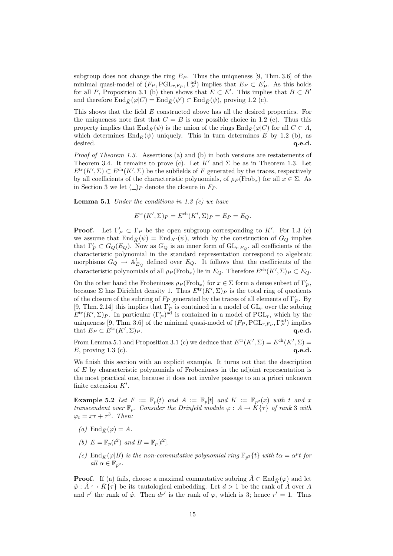subgroup does not change the ring  $E_P$ . Thus the uniqueness [9, Thm. 3.6] of the minimal quasi-model of  $(F_P, \text{PGL}_{r, F_P}, \Gamma_P^{\text{ad}})$  implies that  $E_P \subset E_P'$ . As this holds for all P, Proposition 3.1 (b) then shows that  $E \subset E'$ . This implies that  $B \subset B'$ and therefore  $\text{End}_{\bar{K}}(\varphi|C) = \text{End}_{\bar{K}}(\psi') \subset \text{End}_{\bar{K}}(\psi)$ , proving 1.2 (c).

This shows that the field E constructed above has all the desired properties. For the uniqueness note first that  $C = B$  is one possible choice in 1.2 (c). Thus this property implies that  $\text{End}_{\bar{K}}(\psi)$  is the union of the rings  $\text{End}_{\bar{K}}(\varphi|C)$  for all  $C \subset A$ , which determines  $\text{End}_{\bar{K}}(\psi)$  uniquely. This in turn determines E by 1.2 (b), as desired.  $q.e.d.$ 

Proof of Theorem 1.3. Assertions (a) and (b) in both versions are restatements of Theorem 3.4. It remains to prove (c). Let  $K'$  and  $\Sigma$  be as in Theorem 1.3. Let  $E^{\text{tr}}(K', \Sigma) \subset E^{\text{ch}}(K', \Sigma)$  be the subfields of F generated by the traces, respectively by all coefficients of the characteristic polynomials, of  $\rho_P(\text{Frob}_x)$  for all  $x \in \Sigma$ . As in Section 3 we let  $(\_)_P$  denote the closure in  $F_P$ .

**Lemma 5.1** Under the conditions in 1.3  $(c)$  we have

 $E^{\text{tr}}(K', \Sigma)P = E^{\text{ch}}(K', \Sigma)P = E_P = E_Q.$ 

**Proof.** Let  $\Gamma'_P \subset \Gamma_P$  be the open subgroup corresponding to K'. For 1.3 (c) we assume that  $\text{End}_{\bar{K}}(\psi) = \text{End}_{K'}(\psi)$ , which by the construction of  $G_Q$  implies that  $\Gamma'_P \subset G_Q(E_Q)$ . Now as  $G_Q$  is an inner form of  $\operatorname{GL}_{r,E_Q}$ , all coefficients of the characteristic polynomial in the standard representation correspond to algebraic morphisms  $G_Q \to \mathbb{A}^1_{E_Q}$  defined over  $E_Q$ . It follows that the coefficients of the characteristic polynomials of all  $\rho_P(\text{Frob}_x)$  lie in  $E_Q$ . Therefore  $E^{ch}(K', \Sigma)_P \subset E_Q$ .

On the other hand the Frobeniuses  $\rho_P(\text{Frob}_x)$  for  $x \in \Sigma$  form a dense subset of  $\Gamma_P'$ , because  $\Sigma$  has Dirichlet density 1. Thus  $E^{\text{tr}}(K',\Sigma)_{P}$  is the total ring of quotients of the closure of the subring of  $F_P$  generated by the traces of all elements of  $\Gamma'_P$ . By [9, Thm. 2.14] this implies that  $\Gamma'_P$  is contained in a model of  $GL_r$  over the subring  $E^{\text{tr}}(K', \Sigma)P$ . In particular  $(\Gamma_P')^{\text{ad}}$  is contained in a model of PGL<sub>r</sub>, which by the uniqueness [9, Thm. 3.6] of the minimal quasi-model of  $(F_P, \text{PGL}_{r, F_P}, \Gamma_P^{\text{ad}})$  implies that  $E_P \subset E^{\text{tr}}(K', \Sigma)_P$ .  $(\mathbf{x}, \Sigma)_{P}$ . q.e.d.

From Lemma 5.1 and Proposition 3.1 (c) we deduce that  $E^{\text{tr}}(K',\Sigma) = E^{\text{ch}}(K',\Sigma)$  $E$ , proving 1.3 (c).  $q.e.d.$ 

We finish this section with an explicit example. It turns out that the description of E by characteristic polynomials of Frobeniuses in the adjoint representation is the most practical one, because it does not involve passage to an a priori unknown finite extension  $K'$ .

**Example 5.2** Let  $F := \mathbb{F}_p(t)$  and  $A := \mathbb{F}_p[t]$  and  $K := \mathbb{F}_{p^2}(x)$  with t and x transcendent over  $\mathbb{F}_p$ . Consider the Drinfeld module  $\varphi: A \to \hat{K} {\tau}$  of rank 3 with  $\varphi_t = x\tau + \tau^3$ . Then:

- (a) End<sub> $\bar{k}(\varphi) = A$ .</sub>
- (b)  $E = \mathbb{F}_p(t^2)$  and  $B = \mathbb{F}_p[t^2]$ .
- (c) End<sub>K</sub> $(\varphi|B)$  is the non-commutative polynomial ring  $\mathbb{F}_{p^2}{t}$  with t $\alpha = \alpha^p t$  for all  $\alpha \in \mathbb{F}_{p^2}$ .

**Proof.** If (a) fails, choose a maximal commutative subring  $\hat{A} \subset \text{End}_{\bar{K}}(\varphi)$  and let  $\hat{\varphi}$ :  $\hat{A} \hookrightarrow \bar{K} \{\tau\}$  be its tautological embedding. Let  $d > 1$  be the rank of  $\hat{A}$  over A and r' the rank of  $\hat{\varphi}$ . Then dr' is the rank of  $\varphi$ , which is 3; hence  $r' = 1$ . Thus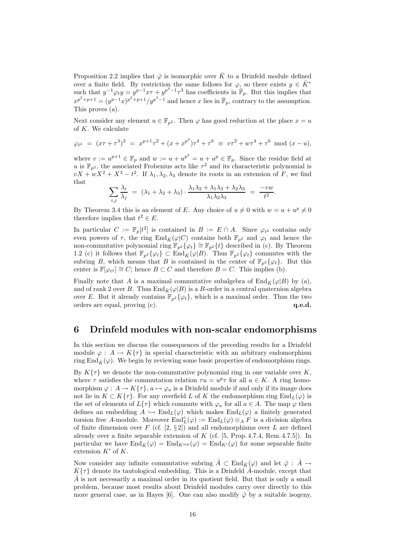Proposition 2.2 implies that  $\hat{\varphi}$  is isomorphic over  $\bar{K}$  to a Drinfeld module defined over a finite field. By restriction the same follows for  $\varphi$ , so there exists  $y \in \overline{K}^*$ such that  $y^{-1}\varphi_t y = y^{p-1}x\tau + y^{p^3-1}\tau^3$  has coefficients in  $\overline{\mathbb{F}}_p$ . But this implies that  $x^{p^2+p+1} = (y^{p-1}x)^{p^2+p+1}/y^{p^3-1}$  and hence x lies in  $\bar{\mathbb{F}}_p$ , contrary to the assumption. This proves (a).

Next consider any element  $u \in \mathbb{F}_{n^2}$ . Then  $\varphi$  has good reduction at the place  $x = u$ of K. We calculate

$$
\varphi_{t^2} = (x\tau + \tau^3)^2 = x^{p+1}\tau^2 + (x + x^{p^3})\tau^4 + \tau^6 \equiv v\tau^2 + w\tau^4 + \tau^6 \mod (x - u),
$$

where  $v := u^{p+1} \in \mathbb{F}_p$  and  $w := u + u^{p^3} = u + u^p \in \mathbb{F}_p$ . Since the residue field at u is  $\mathbb{F}_{p^2}$ , the associated Frobenius acts like  $\tau^2$  and its characteristic polynomial is  $vX + wX^2 + X^3 - t^2$ . If  $\lambda_1, \lambda_2, \lambda_3$  denote its roots in an extension of F, we find that

$$
\sum_{i,j} \frac{\lambda_i}{\lambda_j} = (\lambda_1 + \lambda_2 + \lambda_3) \cdot \frac{\lambda_1 \lambda_2 + \lambda_1 \lambda_3 + \lambda_2 \lambda_3}{\lambda_1 \lambda_2 \lambda_3} = \frac{-vw}{t^2}.
$$

By Theorem 3.4 this is an element of E. Any choice of  $u \neq 0$  with  $w = u + u^p \neq 0$ therefore implies that  $t^2 \in E$ .

In particular  $C := \mathbb{F}_p[t^2]$  is contained in  $B := E \cap A$ . Since  $\varphi_{t^2}$  contains only even powers of  $\tau$ , the ring End<sub>K</sub> $(\varphi|C)$  contains both  $\mathbb{F}_{p^2}$  and  $\varphi_t$  and hence the non-commutative polynomial ring  $\mathbb{F}_{p^2}\{\varphi_t\} \cong \mathbb{F}_{p^2}\{t\}$  described in (c). By Theorem 1.2 (c) it follows that  $\mathbb{F}_{p^2}\{\varphi_t\} \subset \text{End}_{\bar{K}}(\varphi|B)$ . Thus  $\mathbb{F}_{p^2}\{\varphi_t\}$  commutes with the subring B, which means that B is contained in the center of  $\mathbb{F}_{p^2}\{\varphi_t\}$ . But this center is  $\mathbb{F}[\varphi_{t^2}] \cong C$ ; hence  $B \subset C$  and therefore  $B = C$ . This implies (b).

Finally note that A is a maximal commutative subalgebra of  $\text{End}_{\overline{K}}(\varphi|B)$  by (a), and of rank 2 over B. Thus  $\text{End}_{\bar{K}}(\varphi|B)$  is a B-order in a central quaternion algebra over E. But it already contains  $\mathbb{F}_{p^2}{\lbrace \varphi_t \rbrace}$ , which is a maximal order. Thus the two orders are equal, proving (c).  $q.e.d.$ 

# 6 Drinfeld modules with non-scalar endomorphisms

In this section we discuss the consequences of the preceding results for a Drinfeld module  $\varphi: A \to K\{\tau\}$  in special characteristic with an arbitrary endomorphism ring End<sub> $\bar{K}(\varphi)$ </sub>. We begin by reviewing some basic properties of endomorphism rings.

By  $K\{\tau\}$  we denote the non-commutative polynomial ring in one variable over K, where  $\tau$  satisfies the commutation relation  $\tau u = u^p \tau$  for all  $u \in K$ . A ring homomorphism  $\varphi: A \to K\{\tau\}, a \mapsto \varphi_a$  is a Drinfeld module if and only if its image does not lie in  $K \subset K\{\tau\}$ . For any overfield L of K the endomorphism ring  $\text{End}_L(\varphi)$  is the set of elements of  $L\{\tau\}$  which commute with  $\varphi_a$  for all  $a \in A$ . The map  $\varphi$  then defines an embedding  $A \hookrightarrow \text{End}_L(\varphi)$  which makes  $\text{End}_L(\varphi)$  a finitely generated torsion free A-module. Moreover  $\text{End}_{L}^{o}(\varphi) := \text{End}_{L}(\varphi) \otimes_{A} F$  is a division algebra of finite dimension over F (cf. [2,  $\S 2$ ]) and all endomorphisms over L are defined already over a finite separable extension of K (cf. [5, Prop. 4.7.4, Rem. 4.7.5]). In particular we have  $\text{End}_{\bar{K}}(\varphi) = \text{End}_{K^{\text{sep}}}(\varphi) = \text{End}_{K'}(\varphi)$  for some separable finite extension  $K'$  of  $K$ .

Now consider any infinite commutative subring  $\hat{A} \subset \text{End}_{\bar{K}}(\varphi)$  and let  $\hat{\varphi} : \hat{A} \to$  $\bar{K}\{\tau\}$  denote its tautological embedding. This is a Drinfeld  $\hat{A}$ -module, except that  $\hat{A}$  is not necessarily a maximal order in its quotient field. But that is only a small problem, because most results about Drinfeld modules carry over directly to this more general case, as in Hayes [6]. One can also modify  $\hat{\varphi}$  by a suitable isogeny,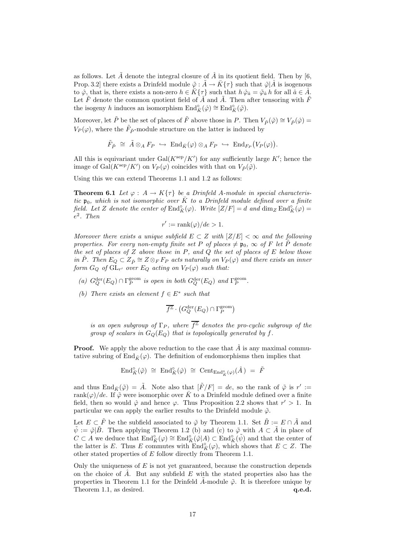as follows. Let  $\tilde{A}$  denote the integral closure of  $\hat{A}$  in its quotient field. Then by [6, Prop. 3.2] there exists a Drinfeld module  $\tilde{\varphi}$  :  $\tilde{A} \to \bar{K} \{\tau\}$  such that  $\tilde{\varphi} | \hat{A}$  is isogenous to  $\hat{\varphi}$ , that is, there exists a non-zero  $h \in \overline{K} \{\tau\}$  such that  $h \hat{\varphi}_a = \tilde{\varphi}_a h$  for all  $\hat{a} \in \hat{A}$ . Let  $\overline{F}$  denote the common quotient field of  $\overline{A}$  and  $\overline{A}$ . Then after tensoring with  $\overline{F}$ the isogeny h induces an isomorphism  $\text{End}_{\bar{K}}^{\circ}(\hat{\varphi}) \cong \text{End}_{\bar{K}}^{\circ}(\tilde{\varphi})$ .

Moreover, let  $\tilde{P}$  be the set of places of  $\tilde{F}$  above those in P. Then  $V_{\tilde{P}}(\tilde{\varphi}) \cong V_{\tilde{P}}(\hat{\varphi}) =$  $V_P(\varphi)$ , where the  $\tilde{F}_{\tilde{P}}$ -module structure on the latter is induced by

$$
\tilde{F}_{\tilde{P}} \cong \tilde{A} \otimes_A F_P \hookrightarrow \operatorname{End}_{\bar{K}}(\varphi) \otimes_A F_P \hookrightarrow \operatorname{End}_{F_P}(V_P(\varphi)).
$$

All this is equivariant under  $Gal(K^{\text{sep}}/K')$  for any sufficiently large K'; hence the image of  $Gal(K^{\text{sep}}/K')$  on  $V_P(\varphi)$  coincides with that on  $V_{\tilde{P}}(\tilde{\varphi})$ .

Using this we can extend Theorems 1.1 and 1.2 as follows:

**Theorem 6.1** Let  $\varphi : A \to K\{\tau\}$  be a Drinfeld A-module in special characteristic  $\mathfrak{p}_0$ , which is not isomorphic over  $\overline{K}$  to a Drinfeld module defined over a finite field. Let Z denote the center of  $\text{End}_{\tilde{K}}^{\circ}(\varphi)$ . Write  $[Z/F] = d$  and  $\dim_Z \text{End}_{\tilde{K}}^{\circ}(\varphi) =$ e 2 . Then

$$
r' := \operatorname{rank}(\varphi)/de > 1.
$$

Moreover there exists a unique subfield  $E \subset Z$  with  $|Z/E| < \infty$  and the following properties. For every non-empty finite set P of places  $\neq$  p<sub>0</sub>,  $\infty$  of F let  $\tilde{P}$  denote the set of places of  $Z$  above those in  $P$ , and  $Q$  the set of places of  $E$  below those in  $\tilde{P}$ . Then  $E_Q \subset Z_{\tilde{P}} \cong Z \otimes_F F_P$  acts naturally on  $V_P(\varphi)$  and there exists an inner form  $G_Q$  of  $\operatorname{GL}_{r'}$  over  $E_Q$  acting on  $V_P(\varphi)$  such that:

- (a)  $G_Q^{\text{der}}(E_Q) \cap \Gamma_P^{\text{geom}}$  is open in both  $G_Q^{\text{der}}(E_Q)$  and  $\Gamma_P^{\text{geom}}$ .
- (b) There exists an element  $f \in E^*$  such that

$$
\overline{f^{\mathbb{Z}}}\cdot\left(G_Q^{\text{der}}(E_Q)\cap\Gamma_P^{\text{geom}}\right)
$$

is an open subgroup of  $\Gamma_P$ , where  $\overline{f^{\mathbb{Z}}}$  denotes the pro-cyclic subgroup of the group of scalars in  $G<sub>O</sub>(E<sub>O</sub>)$  that is topologically generated by f.

**Proof.** We apply the above reduction to the case that  $\tilde{A}$  is any maximal commutative subring of  $\text{End}_{\bar{K}}(\varphi)$ . The definition of endomorphisms then implies that

$$
\text{End}_{\tilde{K}}^{\circ}(\tilde{\varphi}) \cong \text{End}_{\tilde{K}}^{\circ}(\hat{\varphi}) \cong \text{Cent}_{\text{End}_{\tilde{K}}^{\circ}(\varphi)}(\hat{A}) = \tilde{F}
$$

and thus  $\text{End}_{\bar{K}}(\tilde{\varphi}) = \tilde{A}$ . Note also that  $[\tilde{F}/F] = de$ , so the rank of  $\tilde{\varphi}$  is  $r' :=$ rank $(\varphi)/de$ . If  $\tilde{\varphi}$  were isomorphic over  $\bar{K}$  to a Drinfeld module defined over a finite field, then so would  $\hat{\varphi}$  and hence  $\varphi$ . Thus Proposition 2.2 shows that  $r' > 1$ . In particular we can apply the earlier results to the Drinfeld module  $\tilde{\varphi}$ .

Let  $E \subset \tilde{F}$  be the subfield associated to  $\tilde{\varphi}$  by Theorem 1.1. Set  $\tilde{B} := E \cap \tilde{A}$  and  $\tilde{\psi} := \tilde{\varphi} | \tilde{B}$ . Then applying Theorem 1.2 (b) and (c) to  $\tilde{\varphi}$  with  $A \subset \tilde{A}$  in place of  $C \subset A$  we deduce that  $\text{End}_{\tilde{K}}^{\circ}(\varphi) \cong \text{End}_{\tilde{K}}^{\circ}(\tilde{\varphi}|A) \subset \text{End}_{\tilde{K}}^{\circ}(\tilde{\psi})$  and that the center of the latter is E. Thus E commutes with  $\text{End}_{\bar{K}}^{\circ}(\varphi)$ , which shows that  $E \subset Z$ . The other stated properties of E follow directly from Theorem 1.1.

Only the uniqueness of  $E$  is not yet guaranteed, because the construction depends on the choice of  $\hat{A}$ . But any subfield E with the stated properties also has the properties in Theorem 1.1 for the Drinfeld  $\tilde{A}$ -module  $\tilde{\varphi}$ . It is therefore unique by Theorem 1.1, as desired.  $q.e.d.$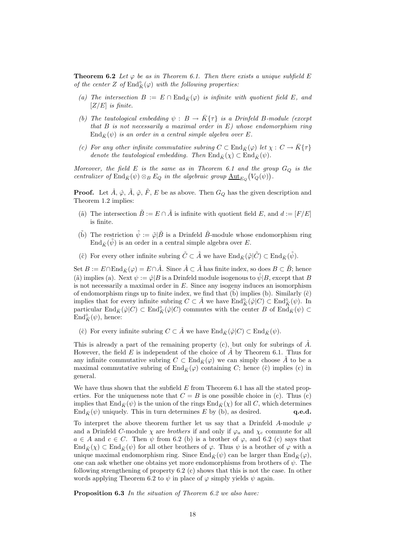**Theorem 6.2** Let  $\varphi$  be as in Theorem 6.1. Then there exists a unique subfield E of the center Z of  $\mathrm{End}_{\bar K}^{\circ}(\varphi)$  with the following properties:

- (a) The intersection  $B := E \cap \text{End}_{\overline{K}}(\varphi)$  is infinite with quotient field E, and  $[Z/E]$  is finite.
- (b) The tautological embedding  $\psi : B \to \overline{K} {\tau}$  is a Drinfeld B-module (except that  $B$  is not necessarily a maximal order in  $E$ ) whose endomorphism ring  $\text{End}_{\bar{K}}(\psi)$  is an order in a central simple algebra over E.
- (c) For any other infinite commutative subring  $C \subset \text{End}_{\overline{K}}(\varphi)$  let  $\chi: C \to \overline{K} \{\tau\}$ denote the tautological embedding. Then  $\text{End}_{\bar{K}}(\chi) \subset \text{End}_{\bar{K}}(\psi)$ .

Moreover, the field  $E$  is the same as in Theorem 6.1 and the group  $G_Q$  is the centralizer of End<sub> $\bar{K}(\psi) \otimes_B E_Q$  in the algebraic group  $\underline{\mathrm{Aut}}_{E_Q}(V_Q(\psi))$ .</sub>

**Proof.** Let  $\hat{A}$ ,  $\hat{\varphi}$ ,  $\tilde{A}$ ,  $\tilde{\varphi}$ ,  $\tilde{F}$ ,  $E$  be as above. Then  $G_Q$  has the given description and Theorem 1.2 implies:

- ( $\tilde{a}$ ) The intersection  $\tilde{B} := E \cap \tilde{A}$  is infinite with quotient field E, and  $d := [F/E]$ is finite.
- (b) The restriction  $\tilde{\psi} := \tilde{\varphi} | \tilde{B}$  is a Drinfeld  $\tilde{B}$ -module whose endomorphism ring  $\text{End}_{\bar{K}}(\tilde{\psi})$  is an order in a central simple algebra over E.
- (č) For every other infinite subring  $\tilde{C} \subset \tilde{A}$  we have  $\text{End}_{\bar{K}}(\tilde{\varphi}|\tilde{C}) \subset \text{End}_{\bar{K}}(\tilde{\psi})$ .

Set  $B := E \cap \text{End}_{\bar{K}}(\varphi) = E \cap \hat{A}$ . Since  $\hat{A} \subset \tilde{A}$  has finite index, so does  $B \subset \tilde{B}$ ; hence ( $\hat{a}$ ) implies (a). Next  $\psi := \hat{\varphi}|B$  is a Drinfeld module isogenous to  $\hat{\psi}|B$ , except that B is not necessarily a maximal order in  $E$ . Since any isogeny induces an isomorphism of endomorphism rings up to finite index, we find that  $(b)$  implies  $(b)$ . Similarly  $(\tilde{c})$ implies that for every infinite subring  $C \subset \hat{A}$  we have  $\text{End}_{\hat{K}}^{\circ}(\hat{\varphi}|C) \subset \text{End}_{\hat{K}}^{\circ}(\psi)$ . In particular  $\text{End}_{\bar{K}}(\hat{\varphi}|C) \subset \text{End}_{\bar{K}}^{\circ}(\hat{\varphi}|C)$  commutes with the center B of  $\text{End}_{\bar{K}}(\psi) \subset$  $\text{End}_{\bar{K}}^{\circ}(\psi)$ , hence:

(ĉ) For every infinite subring  $C \subset \hat{A}$  we have  $\text{End}_{\bar{K}}(\hat{\varphi}|C) \subset \text{End}_{\bar{K}}(\psi)$ .

This is already a part of the remaining property (c), but only for subrings of  $\hat{A}$ . However, the field E is independent of the choice of  $\hat{A}$  by Theorem 6.1. Thus for any infinite commutative subring  $C \subset \text{End}_{\bar{K}}(\varphi)$  we can simply choose  $\bar{A}$  to be a maximal commutative subring of  $\text{End}_{\bar{K}}(\varphi)$  containing C; hence (ĉ) implies (c) in general.

We have thus shown that the subfield  $E$  from Theorem 6.1 has all the stated properties. For the uniqueness note that  $C = B$  is one possible choice in (c). Thus (c) implies that  $\text{End}_{\bar{K}}(\psi)$  is the union of the rings  $\text{End}_{\bar{K}}(\chi)$  for all C, which determines  $\text{End}_{\bar{K}}(\psi)$  uniquely. This in turn determines E by (b), as desired. **q.e.d.** End  $\bar{k}(\psi)$  uniquely. This in turn determines E by (b), as desired.

To interpret the above theorem further let us say that a Drinfeld A-module  $\varphi$ and a Drinfeld C-module  $\chi$  are *brothers* if and only if  $\varphi_a$  and  $\chi_c$  commute for all  $a \in A$  and  $c \in C$ . Then  $\psi$  from 6.2 (b) is a brother of  $\varphi$ , and 6.2 (c) says that  $\text{End}_{\bar{K}}(\chi) \subset \text{End}_{\bar{K}}(\psi)$  for all other brothers of  $\varphi$ . Thus  $\psi$  is a brother of  $\varphi$  with a unique maximal endomorphism ring. Since End $\bar{K}(\psi)$  can be larger than End $\bar{K}(\varphi)$ , one can ask whether one obtains yet more endomorphisms from brothers of  $\psi$ . The following strengthening of property 6.2 (c) shows that this is not the case. In other words applying Theorem 6.2 to  $\psi$  in place of  $\varphi$  simply yields  $\psi$  again.

Proposition 6.3 In the situation of Theorem 6.2 we also have: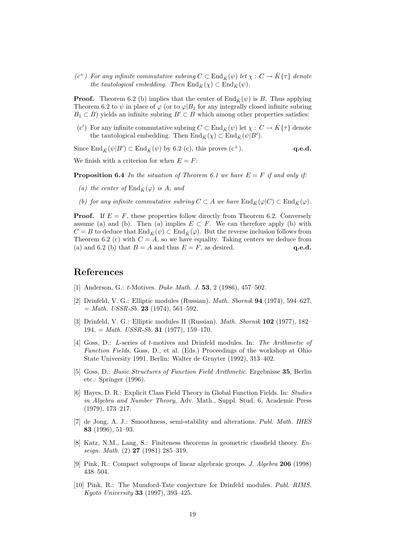$(c^+)$  For any infinite commutative subring  $C \subset \text{End}_{\bar{K}}(\psi)$  let  $\chi: C \to \bar{K}(\tau)$  denote the tautological embedding. Then  $\text{End}_{\bar{K}}(\chi) \subset \text{End}_{\bar{K}}(\psi)$ .

**Proof.** Theorem 6.2 (b) implies that the center of  $\text{End}_{\bar{K}}(\psi)$  is B. Thus applying Theorem 6.2 to  $\psi$  in place of  $\varphi$  (or to  $\varphi|B_1$  for any integrally closed infinite subring  $B_1 \subset B$ ) yields an infinite subring  $B' \subset B$  which among other properties satisfies:

 $(c')$  For any infinite commutative subring  $C \subset \text{End}_{\bar{K}}(\psi)$  let  $\chi: C \to \bar{K} \{\tau\}$  denote the tautological embedding. Then  $\text{End}_{\bar{K}}(\chi) \subset \text{End}_{\bar{K}}(\psi|B').$ 

Since  $\text{End}_{\bar{K}}(\psi|B') \subset \text{End}_{\bar{K}}(\psi)$  by 6.2 (c), this proves (c<sup>+</sup>). **q.e.d.** 

We finish with a criterion for when  $E = F$ :

**Proposition 6.4** In the situation of Theorem 6.1 we have  $E = F$  if and only if:

- (a) the center of  $\text{End}_{\bar{K}}(\varphi)$  is A, and
- (b) for any infinite commutative subring  $C \subset A$  we have  $\text{End}_{\overline{K}}(\varphi|C) \subset \text{End}_{\overline{K}}(\varphi)$ .

**Proof.** If  $E = F$ , these properties follow directly from Theorem 6.2. Conversely assume (a) and (b). Then (a) implies  $E \subset F$ . We can therefore apply (b) with  $C = B$  to deduce that  $\text{End}_{\bar{K}}(\psi) \subset \text{End}_{\bar{K}}(\varphi)$ . But the reverse inclusion follows from Theorem 6.2 (c) with  $C = A$ , so we have equality. Taking centers we deduce from (a) and 6.2 (b) that  $B = A$  and thus  $E = F$ , as desired. q.e.d.

## References

- [1] Anderson, G.: *t*-Motives. *Duke Math. J.* **53**, 2 (1986), 457–502.
- [2] Drinfeld, V. G.: Elliptic modules (Russian). Math. Sbornik 94 (1974), 594–627,  $= Math. \text{USSR-Sb. } 23 \text{ (1974), } 561-592.$
- [3] Drinfeld, V. G.: Elliptic modules II (Russian). Math. Sbornik 102 (1977), 182–  $194 = Math. \text{USSR-Sb. } 31 (1977), 159-170.$
- [4] Goss, D.: L-series of t-motives and Drinfeld modules. In: The Arithmetic of Function Fields, Goss, D., et al. (Eds.) Proceedings of the workshop at Ohio State University 1991. Berlin: Walter de Gruyter (1992), 313–402.
- [5] Goss, D.: Basic Structures of Function Field Arithmetic. Ergebnisse 35, Berlin etc.: Springer (1996).
- [6] Hayes, D. R.: Explicit Class Field Theory in Global Function Fields. In: Studies in Algebra and Number Theory, Adv. Math., Suppl. Stud. 6, Academic Press (1979), 173–217.
- [7] de Jong, A. J.: Smoothness, semi-stability and alterations. Publ. Math. IHES 83 (1996), 51–93.
- [8] Katz, N.M., Lang, S.: Finiteness theorems in geometric classfield theory. Enseign. Math. (2) 27 (1981) 285–319.
- [9] Pink, R.: Compact subgroups of linear algebraic groups. J. Algebra 206 (1998) 438–504.
- [10] Pink, R.: The Mumford-Tate conjecture for Drinfeld modules. Publ. RIMS, Kyoto University 33 (1997), 393–425.